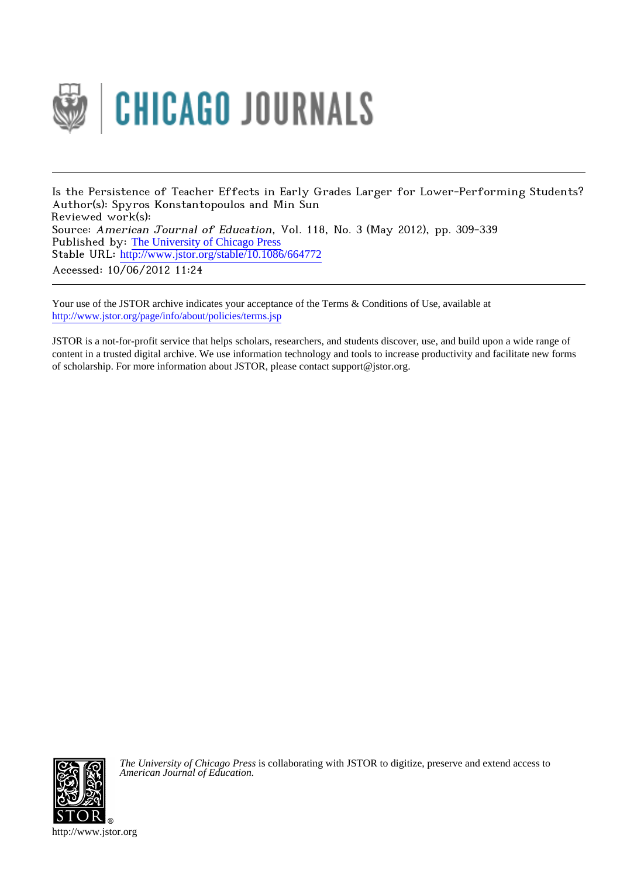

Is the Persistence of Teacher Effects in Early Grades Larger for Lower-Performing Students? Author(s): Spyros Konstantopoulos and Min Sun Reviewed work(s): Source: American Journal of Education, Vol. 118, No. 3 (May 2012), pp. 309-339 Published by: [The University of Chicago Press](http://www.jstor.org/action/showPublisher?publisherCode=ucpress) Stable URL: http://www.jstor.org/stable/10.1086/664772 Accessed: 10/06/2012 11:24

Your use of the JSTOR archive indicates your acceptance of the Terms & Conditions of Use, available at <http://www.jstor.org/page/info/about/policies/terms.jsp>

JSTOR is a not-for-profit service that helps scholars, researchers, and students discover, use, and build upon a wide range of content in a trusted digital archive. We use information technology and tools to increase productivity and facilitate new forms of scholarship. For more information about JSTOR, please contact support@jstor.org.



*The University of Chicago Press* is collaborating with JSTOR to digitize, preserve and extend access to *American Journal of Education.*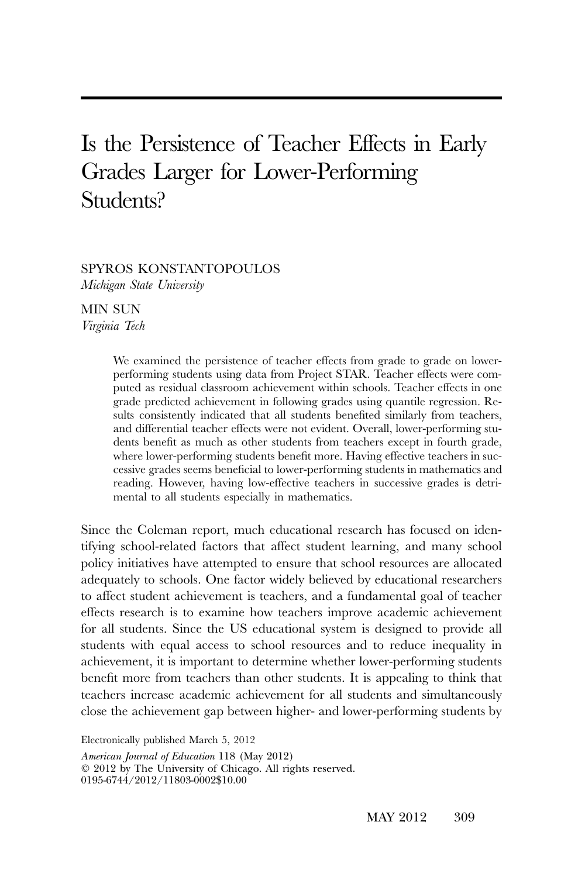# Is the Persistence of Teacher Effects in Early Grades Larger for Lower-Performing Students?

# SPYROS KONSTANTOPOULOS

*Michigan State University*

MIN SUN *Virginia Tech*

> We examined the persistence of teacher effects from grade to grade on lowerperforming students using data from Project STAR. Teacher effects were computed as residual classroom achievement within schools. Teacher effects in one grade predicted achievement in following grades using quantile regression. Results consistently indicated that all students benefited similarly from teachers, and differential teacher effects were not evident. Overall, lower-performing students benefit as much as other students from teachers except in fourth grade, where lower-performing students benefit more. Having effective teachers in successive grades seems beneficial to lower-performing students in mathematics and reading. However, having low-effective teachers in successive grades is detrimental to all students especially in mathematics.

Since the Coleman report, much educational research has focused on identifying school-related factors that affect student learning, and many school policy initiatives have attempted to ensure that school resources are allocated adequately to schools. One factor widely believed by educational researchers to affect student achievement is teachers, and a fundamental goal of teacher effects research is to examine how teachers improve academic achievement for all students. Since the US educational system is designed to provide all students with equal access to school resources and to reduce inequality in achievement, it is important to determine whether lower-performing students benefit more from teachers than other students. It is appealing to think that teachers increase academic achievement for all students and simultaneously close the achievement gap between higher- and lower-performing students by

Electronically published March 5, 2012

*American Journal of Education* 118 (May 2012) 2012 by The University of Chicago. All rights reserved. 0195-6744/2012/11803-0002\$10.00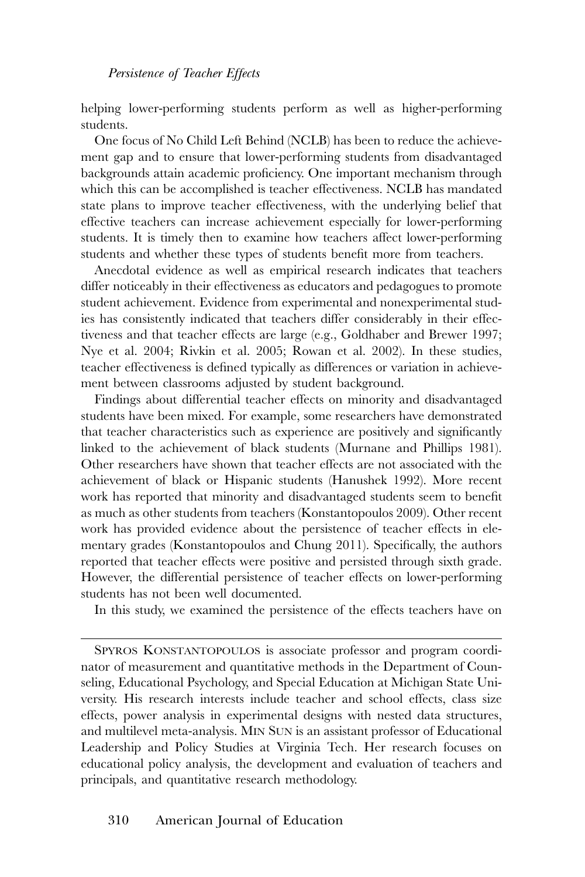helping lower-performing students perform as well as higher-performing students.

One focus of No Child Left Behind (NCLB) has been to reduce the achievement gap and to ensure that lower-performing students from disadvantaged backgrounds attain academic proficiency. One important mechanism through which this can be accomplished is teacher effectiveness. NCLB has mandated state plans to improve teacher effectiveness, with the underlying belief that effective teachers can increase achievement especially for lower-performing students. It is timely then to examine how teachers affect lower-performing students and whether these types of students benefit more from teachers.

Anecdotal evidence as well as empirical research indicates that teachers differ noticeably in their effectiveness as educators and pedagogues to promote student achievement. Evidence from experimental and nonexperimental studies has consistently indicated that teachers differ considerably in their effectiveness and that teacher effects are large (e.g., Goldhaber and Brewer 1997; Nye et al. 2004; Rivkin et al. 2005; Rowan et al. 2002). In these studies, teacher effectiveness is defined typically as differences or variation in achievement between classrooms adjusted by student background.

Findings about differential teacher effects on minority and disadvantaged students have been mixed. For example, some researchers have demonstrated that teacher characteristics such as experience are positively and significantly linked to the achievement of black students (Murnane and Phillips 1981). Other researchers have shown that teacher effects are not associated with the achievement of black or Hispanic students (Hanushek 1992). More recent work has reported that minority and disadvantaged students seem to benefit as much as other students from teachers (Konstantopoulos 2009). Other recent work has provided evidence about the persistence of teacher effects in elementary grades (Konstantopoulos and Chung 2011). Specifically, the authors reported that teacher effects were positive and persisted through sixth grade. However, the differential persistence of teacher effects on lower-performing students has not been well documented.

In this study, we examined the persistence of the effects teachers have on

SPYROS KONSTANTOPOULOS is associate professor and program coordinator of measurement and quantitative methods in the Department of Counseling, Educational Psychology, and Special Education at Michigan State University. His research interests include teacher and school effects, class size effects, power analysis in experimental designs with nested data structures, and multilevel meta-analysis. MIN SUN is an assistant professor of Educational Leadership and Policy Studies at Virginia Tech. Her research focuses on educational policy analysis, the development and evaluation of teachers and principals, and quantitative research methodology.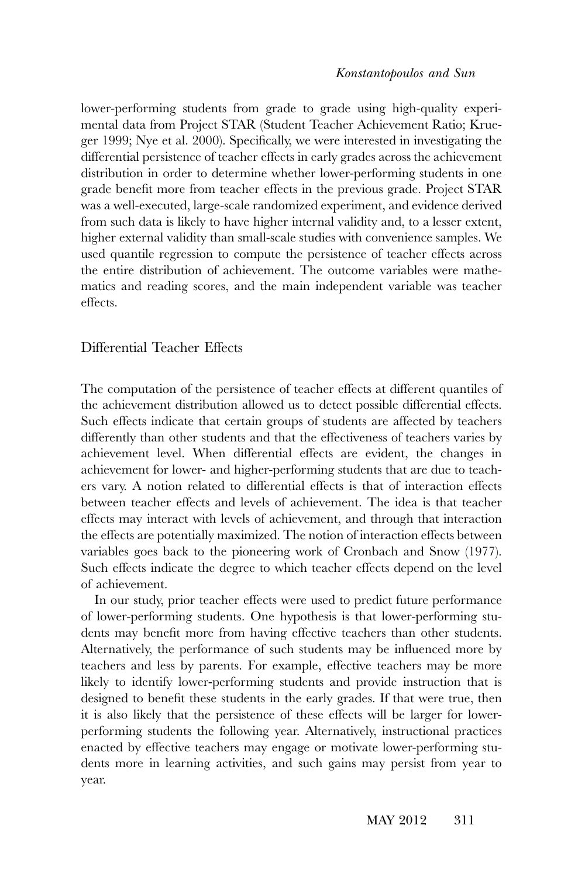lower-performing students from grade to grade using high-quality experimental data from Project STAR (Student Teacher Achievement Ratio; Krueger 1999; Nye et al. 2000). Specifically, we were interested in investigating the differential persistence of teacher effects in early grades across the achievement distribution in order to determine whether lower-performing students in one grade benefit more from teacher effects in the previous grade. Project STAR was a well-executed, large-scale randomized experiment, and evidence derived from such data is likely to have higher internal validity and, to a lesser extent, higher external validity than small-scale studies with convenience samples. We used quantile regression to compute the persistence of teacher effects across the entire distribution of achievement. The outcome variables were mathematics and reading scores, and the main independent variable was teacher effects.

# Differential Teacher Effects

The computation of the persistence of teacher effects at different quantiles of the achievement distribution allowed us to detect possible differential effects. Such effects indicate that certain groups of students are affected by teachers differently than other students and that the effectiveness of teachers varies by achievement level. When differential effects are evident, the changes in achievement for lower- and higher-performing students that are due to teachers vary. A notion related to differential effects is that of interaction effects between teacher effects and levels of achievement. The idea is that teacher effects may interact with levels of achievement, and through that interaction the effects are potentially maximized. The notion of interaction effects between variables goes back to the pioneering work of Cronbach and Snow (1977). Such effects indicate the degree to which teacher effects depend on the level of achievement.

In our study, prior teacher effects were used to predict future performance of lower-performing students. One hypothesis is that lower-performing students may benefit more from having effective teachers than other students. Alternatively, the performance of such students may be influenced more by teachers and less by parents. For example, effective teachers may be more likely to identify lower-performing students and provide instruction that is designed to benefit these students in the early grades. If that were true, then it is also likely that the persistence of these effects will be larger for lowerperforming students the following year. Alternatively, instructional practices enacted by effective teachers may engage or motivate lower-performing students more in learning activities, and such gains may persist from year to year.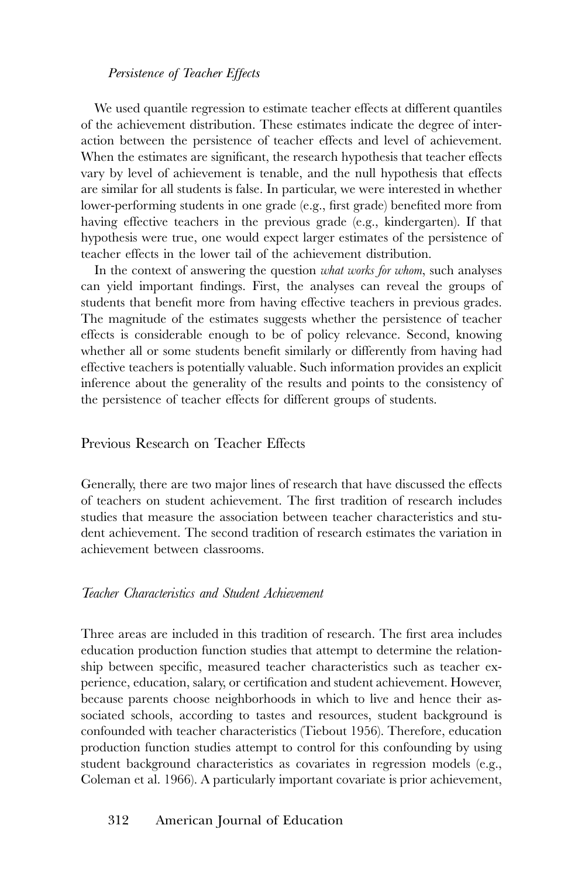We used quantile regression to estimate teacher effects at different quantiles of the achievement distribution. These estimates indicate the degree of interaction between the persistence of teacher effects and level of achievement. When the estimates are significant, the research hypothesis that teacher effects vary by level of achievement is tenable, and the null hypothesis that effects are similar for all students is false. In particular, we were interested in whether lower-performing students in one grade (e.g., first grade) benefited more from having effective teachers in the previous grade (e.g., kindergarten). If that hypothesis were true, one would expect larger estimates of the persistence of teacher effects in the lower tail of the achievement distribution.

In the context of answering the question *what works for whom*, such analyses can yield important findings. First, the analyses can reveal the groups of students that benefit more from having effective teachers in previous grades. The magnitude of the estimates suggests whether the persistence of teacher effects is considerable enough to be of policy relevance. Second, knowing whether all or some students benefit similarly or differently from having had effective teachers is potentially valuable. Such information provides an explicit inference about the generality of the results and points to the consistency of the persistence of teacher effects for different groups of students.

# Previous Research on Teacher Effects

Generally, there are two major lines of research that have discussed the effects of teachers on student achievement. The first tradition of research includes studies that measure the association between teacher characteristics and student achievement. The second tradition of research estimates the variation in achievement between classrooms.

# *Teacher Characteristics and Student Achievement*

Three areas are included in this tradition of research. The first area includes education production function studies that attempt to determine the relationship between specific, measured teacher characteristics such as teacher experience, education, salary, or certification and student achievement. However, because parents choose neighborhoods in which to live and hence their associated schools, according to tastes and resources, student background is confounded with teacher characteristics (Tiebout 1956). Therefore, education production function studies attempt to control for this confounding by using student background characteristics as covariates in regression models (e.g., Coleman et al. 1966). A particularly important covariate is prior achievement,

## 312 American Journal of Education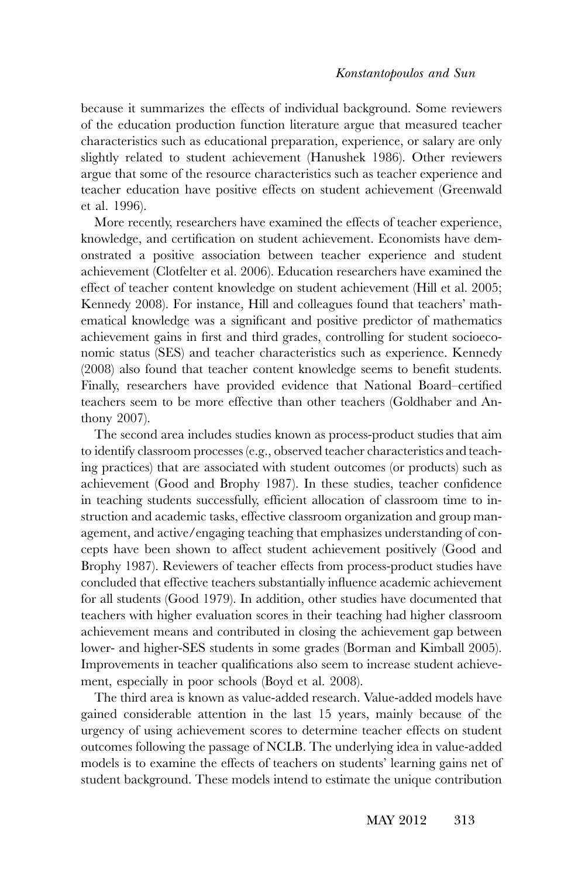because it summarizes the effects of individual background. Some reviewers of the education production function literature argue that measured teacher characteristics such as educational preparation, experience, or salary are only slightly related to student achievement (Hanushek 1986). Other reviewers argue that some of the resource characteristics such as teacher experience and teacher education have positive effects on student achievement (Greenwald et al. 1996).

More recently, researchers have examined the effects of teacher experience, knowledge, and certification on student achievement. Economists have demonstrated a positive association between teacher experience and student achievement (Clotfelter et al. 2006). Education researchers have examined the effect of teacher content knowledge on student achievement (Hill et al. 2005; Kennedy 2008). For instance, Hill and colleagues found that teachers' mathematical knowledge was a significant and positive predictor of mathematics achievement gains in first and third grades, controlling for student socioeconomic status (SES) and teacher characteristics such as experience. Kennedy (2008) also found that teacher content knowledge seems to benefit students. Finally, researchers have provided evidence that National Board–certified teachers seem to be more effective than other teachers (Goldhaber and Anthony 2007).

The second area includes studies known as process-product studies that aim to identify classroom processes (e.g., observed teacher characteristics and teaching practices) that are associated with student outcomes (or products) such as achievement (Good and Brophy 1987). In these studies, teacher confidence in teaching students successfully, efficient allocation of classroom time to instruction and academic tasks, effective classroom organization and group management, and active/engaging teaching that emphasizes understanding of concepts have been shown to affect student achievement positively (Good and Brophy 1987). Reviewers of teacher effects from process-product studies have concluded that effective teachers substantially influence academic achievement for all students (Good 1979). In addition, other studies have documented that teachers with higher evaluation scores in their teaching had higher classroom achievement means and contributed in closing the achievement gap between lower- and higher-SES students in some grades (Borman and Kimball 2005). Improvements in teacher qualifications also seem to increase student achievement, especially in poor schools (Boyd et al. 2008).

The third area is known as value-added research. Value-added models have gained considerable attention in the last 15 years, mainly because of the urgency of using achievement scores to determine teacher effects on student outcomes following the passage of NCLB. The underlying idea in value-added models is to examine the effects of teachers on students' learning gains net of student background. These models intend to estimate the unique contribution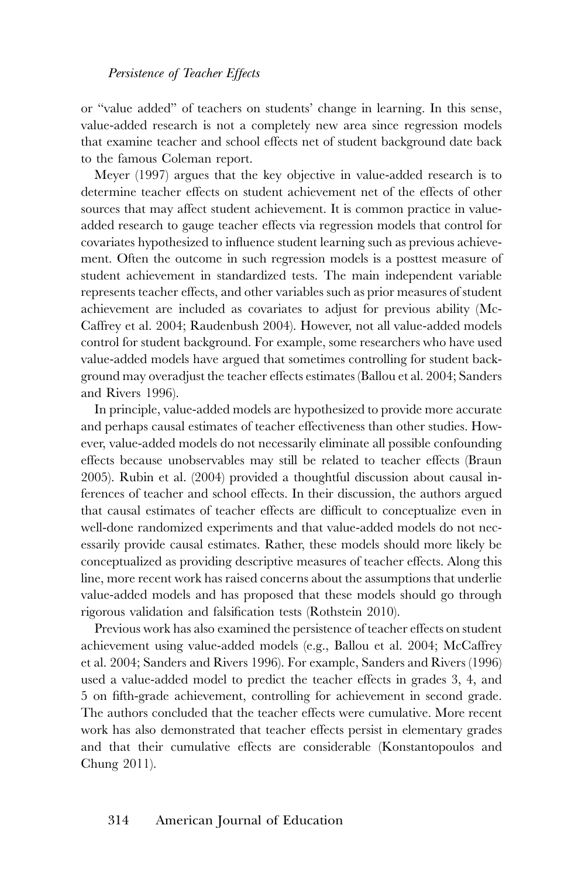or "value added" of teachers on students' change in learning. In this sense, value-added research is not a completely new area since regression models that examine teacher and school effects net of student background date back to the famous Coleman report.

Meyer (1997) argues that the key objective in value-added research is to determine teacher effects on student achievement net of the effects of other sources that may affect student achievement. It is common practice in valueadded research to gauge teacher effects via regression models that control for covariates hypothesized to influence student learning such as previous achievement. Often the outcome in such regression models is a posttest measure of student achievement in standardized tests. The main independent variable represents teacher effects, and other variables such as prior measures of student achievement are included as covariates to adjust for previous ability (Mc-Caffrey et al. 2004; Raudenbush 2004). However, not all value-added models control for student background. For example, some researchers who have used value-added models have argued that sometimes controlling for student background may overadjust the teacher effects estimates (Ballou et al. 2004; Sanders and Rivers 1996).

In principle, value-added models are hypothesized to provide more accurate and perhaps causal estimates of teacher effectiveness than other studies. However, value-added models do not necessarily eliminate all possible confounding effects because unobservables may still be related to teacher effects (Braun 2005). Rubin et al. (2004) provided a thoughtful discussion about causal inferences of teacher and school effects. In their discussion, the authors argued that causal estimates of teacher effects are difficult to conceptualize even in well-done randomized experiments and that value-added models do not necessarily provide causal estimates. Rather, these models should more likely be conceptualized as providing descriptive measures of teacher effects. Along this line, more recent work has raised concerns about the assumptions that underlie value-added models and has proposed that these models should go through rigorous validation and falsification tests (Rothstein 2010).

Previous work has also examined the persistence of teacher effects on student achievement using value-added models (e.g., Ballou et al. 2004; McCaffrey et al. 2004; Sanders and Rivers 1996). For example, Sanders and Rivers (1996) used a value-added model to predict the teacher effects in grades 3, 4, and 5 on fifth-grade achievement, controlling for achievement in second grade. The authors concluded that the teacher effects were cumulative. More recent work has also demonstrated that teacher effects persist in elementary grades and that their cumulative effects are considerable (Konstantopoulos and Chung 2011).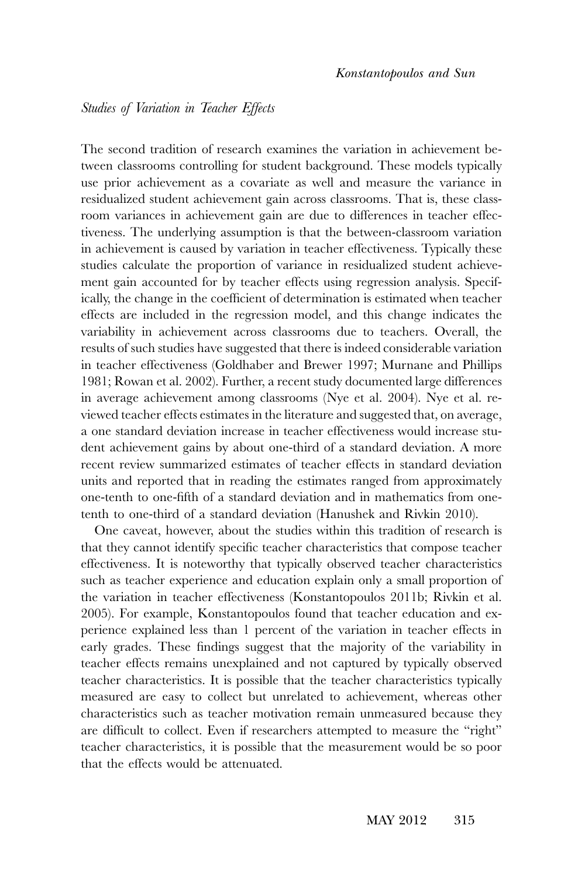## *Studies of Variation in Teacher Effects*

The second tradition of research examines the variation in achievement between classrooms controlling for student background. These models typically use prior achievement as a covariate as well and measure the variance in residualized student achievement gain across classrooms. That is, these classroom variances in achievement gain are due to differences in teacher effectiveness. The underlying assumption is that the between-classroom variation in achievement is caused by variation in teacher effectiveness. Typically these studies calculate the proportion of variance in residualized student achievement gain accounted for by teacher effects using regression analysis. Specifically, the change in the coefficient of determination is estimated when teacher effects are included in the regression model, and this change indicates the variability in achievement across classrooms due to teachers. Overall, the results of such studies have suggested that there is indeed considerable variation in teacher effectiveness (Goldhaber and Brewer 1997; Murnane and Phillips 1981; Rowan et al. 2002). Further, a recent study documented large differences in average achievement among classrooms (Nye et al. 2004). Nye et al. reviewed teacher effects estimates in the literature and suggested that, on average, a one standard deviation increase in teacher effectiveness would increase student achievement gains by about one-third of a standard deviation. A more recent review summarized estimates of teacher effects in standard deviation units and reported that in reading the estimates ranged from approximately one-tenth to one-fifth of a standard deviation and in mathematics from onetenth to one-third of a standard deviation (Hanushek and Rivkin 2010).

One caveat, however, about the studies within this tradition of research is that they cannot identify specific teacher characteristics that compose teacher effectiveness. It is noteworthy that typically observed teacher characteristics such as teacher experience and education explain only a small proportion of the variation in teacher effectiveness (Konstantopoulos 2011b; Rivkin et al. 2005). For example, Konstantopoulos found that teacher education and experience explained less than 1 percent of the variation in teacher effects in early grades. These findings suggest that the majority of the variability in teacher effects remains unexplained and not captured by typically observed teacher characteristics. It is possible that the teacher characteristics typically measured are easy to collect but unrelated to achievement, whereas other characteristics such as teacher motivation remain unmeasured because they are difficult to collect. Even if researchers attempted to measure the "right" teacher characteristics, it is possible that the measurement would be so poor that the effects would be attenuated.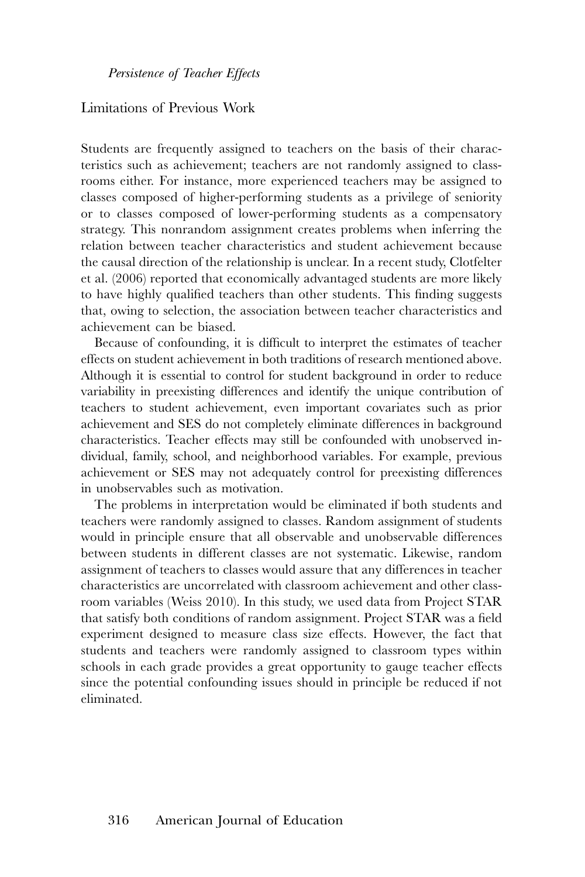# Limitations of Previous Work

Students are frequently assigned to teachers on the basis of their characteristics such as achievement; teachers are not randomly assigned to classrooms either. For instance, more experienced teachers may be assigned to classes composed of higher-performing students as a privilege of seniority or to classes composed of lower-performing students as a compensatory strategy. This nonrandom assignment creates problems when inferring the relation between teacher characteristics and student achievement because the causal direction of the relationship is unclear. In a recent study, Clotfelter et al. (2006) reported that economically advantaged students are more likely to have highly qualified teachers than other students. This finding suggests that, owing to selection, the association between teacher characteristics and achievement can be biased.

Because of confounding, it is difficult to interpret the estimates of teacher effects on student achievement in both traditions of research mentioned above. Although it is essential to control for student background in order to reduce variability in preexisting differences and identify the unique contribution of teachers to student achievement, even important covariates such as prior achievement and SES do not completely eliminate differences in background characteristics. Teacher effects may still be confounded with unobserved individual, family, school, and neighborhood variables. For example, previous achievement or SES may not adequately control for preexisting differences in unobservables such as motivation.

The problems in interpretation would be eliminated if both students and teachers were randomly assigned to classes. Random assignment of students would in principle ensure that all observable and unobservable differences between students in different classes are not systematic. Likewise, random assignment of teachers to classes would assure that any differences in teacher characteristics are uncorrelated with classroom achievement and other classroom variables (Weiss 2010). In this study, we used data from Project STAR that satisfy both conditions of random assignment. Project STAR was a field experiment designed to measure class size effects. However, the fact that students and teachers were randomly assigned to classroom types within schools in each grade provides a great opportunity to gauge teacher effects since the potential confounding issues should in principle be reduced if not eliminated.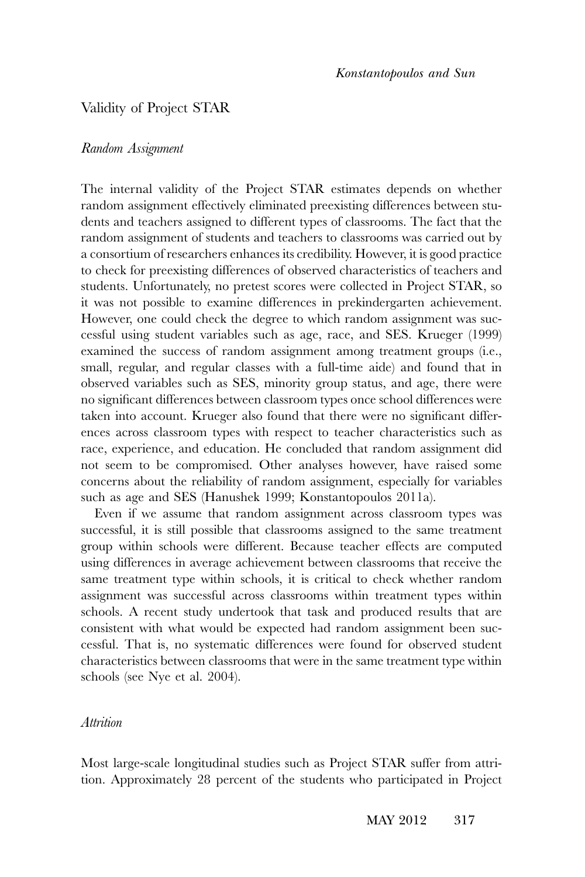# Validity of Project STAR

# *Random Assignment*

The internal validity of the Project STAR estimates depends on whether random assignment effectively eliminated preexisting differences between students and teachers assigned to different types of classrooms. The fact that the random assignment of students and teachers to classrooms was carried out by a consortium of researchers enhances its credibility. However, it is good practice to check for preexisting differences of observed characteristics of teachers and students. Unfortunately, no pretest scores were collected in Project STAR, so it was not possible to examine differences in prekindergarten achievement. However, one could check the degree to which random assignment was successful using student variables such as age, race, and SES. Krueger (1999) examined the success of random assignment among treatment groups (i.e., small, regular, and regular classes with a full-time aide) and found that in observed variables such as SES, minority group status, and age, there were no significant differences between classroom types once school differences were taken into account. Krueger also found that there were no significant differences across classroom types with respect to teacher characteristics such as race, experience, and education. He concluded that random assignment did not seem to be compromised. Other analyses however, have raised some concerns about the reliability of random assignment, especially for variables such as age and SES (Hanushek 1999; Konstantopoulos 2011a).

Even if we assume that random assignment across classroom types was successful, it is still possible that classrooms assigned to the same treatment group within schools were different. Because teacher effects are computed using differences in average achievement between classrooms that receive the same treatment type within schools, it is critical to check whether random assignment was successful across classrooms within treatment types within schools. A recent study undertook that task and produced results that are consistent with what would be expected had random assignment been successful. That is, no systematic differences were found for observed student characteristics between classrooms that were in the same treatment type within schools (see Nye et al. 2004).

# *Attrition*

Most large-scale longitudinal studies such as Project STAR suffer from attrition. Approximately 28 percent of the students who participated in Project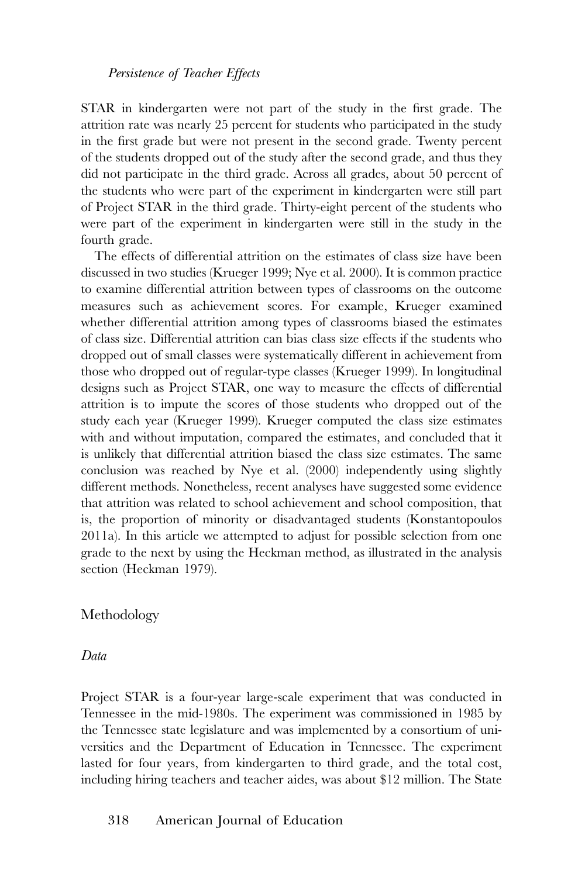STAR in kindergarten were not part of the study in the first grade. The attrition rate was nearly 25 percent for students who participated in the study in the first grade but were not present in the second grade. Twenty percent of the students dropped out of the study after the second grade, and thus they did not participate in the third grade. Across all grades, about 50 percent of the students who were part of the experiment in kindergarten were still part of Project STAR in the third grade. Thirty-eight percent of the students who were part of the experiment in kindergarten were still in the study in the fourth grade.

The effects of differential attrition on the estimates of class size have been discussed in two studies (Krueger 1999; Nye et al. 2000). It is common practice to examine differential attrition between types of classrooms on the outcome measures such as achievement scores. For example, Krueger examined whether differential attrition among types of classrooms biased the estimates of class size. Differential attrition can bias class size effects if the students who dropped out of small classes were systematically different in achievement from those who dropped out of regular-type classes (Krueger 1999). In longitudinal designs such as Project STAR, one way to measure the effects of differential attrition is to impute the scores of those students who dropped out of the study each year (Krueger 1999). Krueger computed the class size estimates with and without imputation, compared the estimates, and concluded that it is unlikely that differential attrition biased the class size estimates. The same conclusion was reached by Nye et al. (2000) independently using slightly different methods. Nonetheless, recent analyses have suggested some evidence that attrition was related to school achievement and school composition, that is, the proportion of minority or disadvantaged students (Konstantopoulos 2011a). In this article we attempted to adjust for possible selection from one grade to the next by using the Heckman method, as illustrated in the analysis section (Heckman 1979).

# Methodology

*Data*

Project STAR is a four-year large-scale experiment that was conducted in Tennessee in the mid-1980s. The experiment was commissioned in 1985 by the Tennessee state legislature and was implemented by a consortium of universities and the Department of Education in Tennessee. The experiment lasted for four years, from kindergarten to third grade, and the total cost, including hiring teachers and teacher aides, was about \$12 million. The State

# 318 American Journal of Education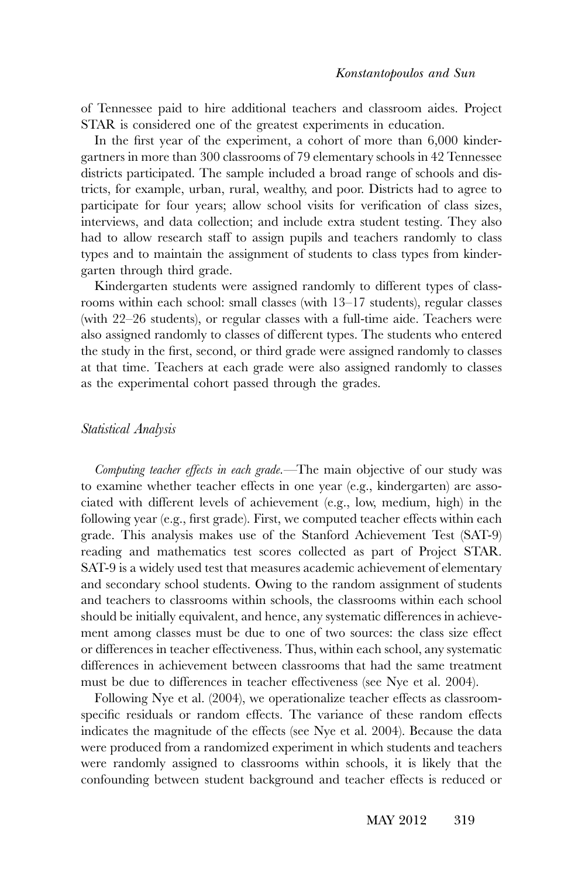of Tennessee paid to hire additional teachers and classroom aides. Project STAR is considered one of the greatest experiments in education.

In the first year of the experiment, a cohort of more than 6,000 kindergartners in more than 300 classrooms of 79 elementary schools in 42 Tennessee districts participated. The sample included a broad range of schools and districts, for example, urban, rural, wealthy, and poor. Districts had to agree to participate for four years; allow school visits for verification of class sizes, interviews, and data collection; and include extra student testing. They also had to allow research staff to assign pupils and teachers randomly to class types and to maintain the assignment of students to class types from kindergarten through third grade.

Kindergarten students were assigned randomly to different types of classrooms within each school: small classes (with 13–17 students), regular classes (with 22–26 students), or regular classes with a full-time aide. Teachers were also assigned randomly to classes of different types. The students who entered the study in the first, second, or third grade were assigned randomly to classes at that time. Teachers at each grade were also assigned randomly to classes as the experimental cohort passed through the grades.

#### *Statistical Analysis*

*Computing teacher effects in each grade.—*The main objective of our study was to examine whether teacher effects in one year (e.g., kindergarten) are associated with different levels of achievement (e.g., low, medium, high) in the following year (e.g., first grade). First, we computed teacher effects within each grade. This analysis makes use of the Stanford Achievement Test (SAT-9) reading and mathematics test scores collected as part of Project STAR. SAT-9 is a widely used test that measures academic achievement of elementary and secondary school students. Owing to the random assignment of students and teachers to classrooms within schools, the classrooms within each school should be initially equivalent, and hence, any systematic differences in achievement among classes must be due to one of two sources: the class size effect or differences in teacher effectiveness. Thus, within each school, any systematic differences in achievement between classrooms that had the same treatment must be due to differences in teacher effectiveness (see Nye et al. 2004).

Following Nye et al. (2004), we operationalize teacher effects as classroomspecific residuals or random effects. The variance of these random effects indicates the magnitude of the effects (see Nye et al. 2004). Because the data were produced from a randomized experiment in which students and teachers were randomly assigned to classrooms within schools, it is likely that the confounding between student background and teacher effects is reduced or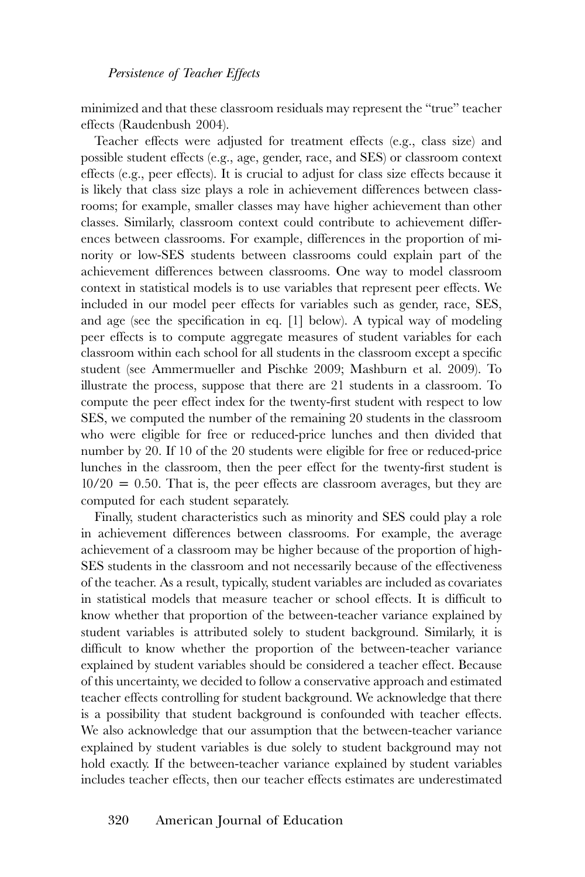minimized and that these classroom residuals may represent the "true" teacher effects (Raudenbush 2004).

Teacher effects were adjusted for treatment effects (e.g., class size) and possible student effects (e.g., age, gender, race, and SES) or classroom context effects (e.g., peer effects). It is crucial to adjust for class size effects because it is likely that class size plays a role in achievement differences between classrooms; for example, smaller classes may have higher achievement than other classes. Similarly, classroom context could contribute to achievement differences between classrooms. For example, differences in the proportion of minority or low-SES students between classrooms could explain part of the achievement differences between classrooms. One way to model classroom context in statistical models is to use variables that represent peer effects. We included in our model peer effects for variables such as gender, race, SES, and age (see the specification in eq. [1] below). A typical way of modeling peer effects is to compute aggregate measures of student variables for each classroom within each school for all students in the classroom except a specific student (see Ammermueller and Pischke 2009; Mashburn et al. 2009). To illustrate the process, suppose that there are 21 students in a classroom. To compute the peer effect index for the twenty-first student with respect to low SES, we computed the number of the remaining 20 students in the classroom who were eligible for free or reduced-price lunches and then divided that number by 20. If 10 of the 20 students were eligible for free or reduced-price lunches in the classroom, then the peer effect for the twenty-first student is  $10/20 = 0.50$ . That is, the peer effects are classroom averages, but they are computed for each student separately.

Finally, student characteristics such as minority and SES could play a role in achievement differences between classrooms. For example, the average achievement of a classroom may be higher because of the proportion of high-SES students in the classroom and not necessarily because of the effectiveness of the teacher. As a result, typically, student variables are included as covariates in statistical models that measure teacher or school effects. It is difficult to know whether that proportion of the between-teacher variance explained by student variables is attributed solely to student background. Similarly, it is difficult to know whether the proportion of the between-teacher variance explained by student variables should be considered a teacher effect. Because of this uncertainty, we decided to follow a conservative approach and estimated teacher effects controlling for student background. We acknowledge that there is a possibility that student background is confounded with teacher effects. We also acknowledge that our assumption that the between-teacher variance explained by student variables is due solely to student background may not hold exactly. If the between-teacher variance explained by student variables includes teacher effects, then our teacher effects estimates are underestimated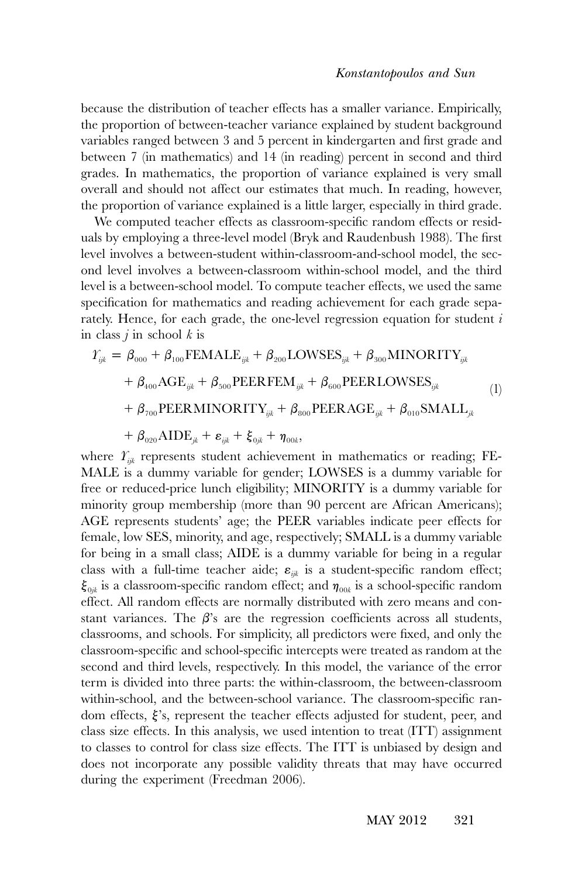because the distribution of teacher effects has a smaller variance. Empirically, the proportion of between-teacher variance explained by student background variables ranged between 3 and 5 percent in kindergarten and first grade and between 7 (in mathematics) and 14 (in reading) percent in second and third grades. In mathematics, the proportion of variance explained is very small overall and should not affect our estimates that much. In reading, however, the proportion of variance explained is a little larger, especially in third grade.

We computed teacher effects as classroom-specific random effects or residuals by employing a three-level model (Bryk and Raudenbush 1988). The first level involves a between-student within-classroom-and-school model, the second level involves a between-classroom within-school model, and the third level is a between-school model. To compute teacher effects, we used the same specification for mathematics and reading achievement for each grade separately. Hence, for each grade, the one-level regression equation for student *i* in class *j* in school *k* is

$$
\begin{split} \varUpsilon_{ijk} &= \beta_{000} + \beta_{100} \text{FEMALE}_{ijk} + \beta_{200} \text{LOWSES}_{ijk} + \beta_{300} \text{MINORITY}_{ijk} \\ &+ \beta_{400} \text{AGE}_{ijk} + \beta_{500} \text{PEERFEM}_{ijk} + \beta_{600} \text{PEERLOWSES}_{ijk} \\ &+ \beta_{700} \text{PEERMINORITY}_{ijk} + \beta_{800} \text{PEERAGE}_{ijk} + \beta_{010} \text{SMALL}_{jk} \end{split} \tag{1}
$$

+ 
$$
\beta_{020}
$$
 AIDE<sub>jk</sub> +  $\varepsilon_{ijk}$  +  $\xi_{0jk}$  +  $\eta_{00k}$ ,

where  $\mathcal{Y}_{ik}$  represents student achievement in mathematics or reading; FE-MALE is a dummy variable for gender; LOWSES is a dummy variable for free or reduced-price lunch eligibility; MINORITY is a dummy variable for minority group membership (more than 90 percent are African Americans); AGE represents students' age; the PEER variables indicate peer effects for female, low SES, minority, and age, respectively; SMALL is a dummy variable for being in a small class; AIDE is a dummy variable for being in a regular class with a full-time teacher aide;  $\varepsilon_{ijk}$  is a student-specific random effect;  $\xi_{0jk}$  is a classroom-specific random effect; and  $\eta_{00k}$  is a school-specific random effect. All random effects are normally distributed with zero means and constant variances. The  $\beta$ 's are the regression coefficients across all students, classrooms, and schools. For simplicity, all predictors were fixed, and only the classroom-specific and school-specific intercepts were treated as random at the second and third levels, respectively. In this model, the variance of the error term is divided into three parts: the within-classroom, the between-classroom within-school, and the between-school variance. The classroom-specific random effects,  $\xi$ 's, represent the teacher effects adjusted for student, peer, and class size effects. In this analysis, we used intention to treat (ITT) assignment to classes to control for class size effects. The ITT is unbiased by design and does not incorporate any possible validity threats that may have occurred during the experiment (Freedman 2006).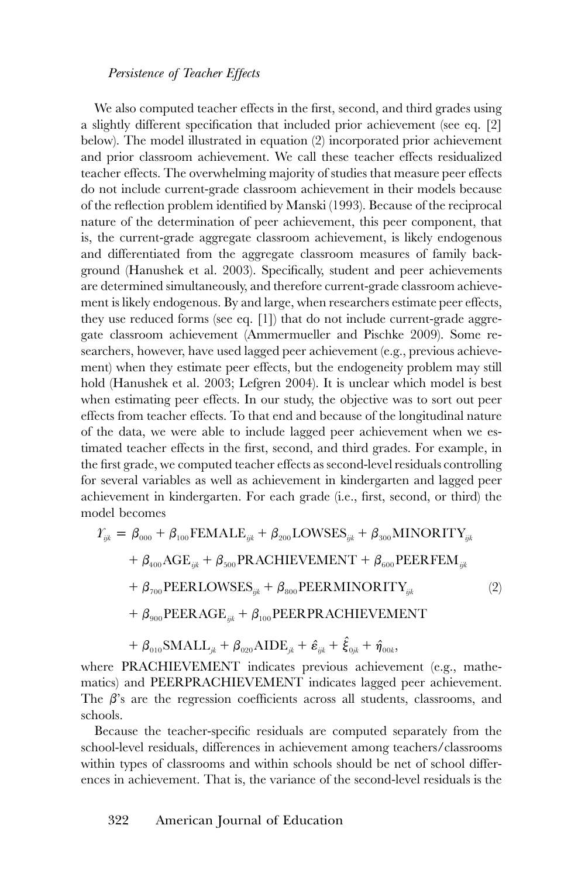We also computed teacher effects in the first, second, and third grades using a slightly different specification that included prior achievement (see eq. [2] below). The model illustrated in equation (2) incorporated prior achievement and prior classroom achievement. We call these teacher effects residualized teacher effects. The overwhelming majority of studies that measure peer effects do not include current-grade classroom achievement in their models because of the reflection problem identified by Manski (1993). Because of the reciprocal nature of the determination of peer achievement, this peer component, that is, the current-grade aggregate classroom achievement, is likely endogenous and differentiated from the aggregate classroom measures of family background (Hanushek et al. 2003). Specifically, student and peer achievements are determined simultaneously, and therefore current-grade classroom achievement is likely endogenous. By and large, when researchers estimate peer effects, they use reduced forms (see eq. [1]) that do not include current-grade aggregate classroom achievement (Ammermueller and Pischke 2009). Some researchers, however, have used lagged peer achievement (e.g., previous achievement) when they estimate peer effects, but the endogeneity problem may still hold (Hanushek et al. 2003; Lefgren 2004). It is unclear which model is best when estimating peer effects. In our study, the objective was to sort out peer effects from teacher effects. To that end and because of the longitudinal nature of the data, we were able to include lagged peer achievement when we estimated teacher effects in the first, second, and third grades. For example, in the first grade, we computed teacher effects as second-level residuals controlling for several variables as well as achievement in kindergarten and lagged peer achievement in kindergarten. For each grade (i.e., first, second, or third) the model becomes

$$
\begin{aligned}\n\varUpsilon_{ijk} &= \beta_{000} + \beta_{100} \text{FEMALE}_{ijk} + \beta_{200} \text{LOWSES}_{ijk} + \beta_{300} \text{MINORITY}_{ijk} \\
&\quad + \beta_{400} \text{AGE}_{ijk} + \beta_{500} \text{PRACHIEVEMENT} + \beta_{600} \text{PEERFEM}_{ijk} \\
&\quad + \beta_{700} \text{PEERLOWSES}_{ijk} + \beta_{800} \text{PEERMINORITY}_{ijk} \\
&\quad + \beta_{900} \text{PEERAGE}_{ijk} + \beta_{100} \text{PEERPRACHIEVEMENT}\n\end{aligned}\n\tag{2}
$$

$$
+\beta_{010}\text{SMALL}_{jk} + \beta_{020}\text{AIDE}_{jk} + \hat{\epsilon}_{ijk} + \hat{\xi}_{0jk} + \hat{\eta}_{00k},
$$

where PRACHIEVEMENT indicates previous achievement (e.g., mathematics) and PEERPRACHIEVEMENT indicates lagged peer achievement. The  $\beta$ 's are the regression coefficients across all students, classrooms, and schools.

Because the teacher-specific residuals are computed separately from the school-level residuals, differences in achievement among teachers/classrooms within types of classrooms and within schools should be net of school differences in achievement. That is, the variance of the second-level residuals is the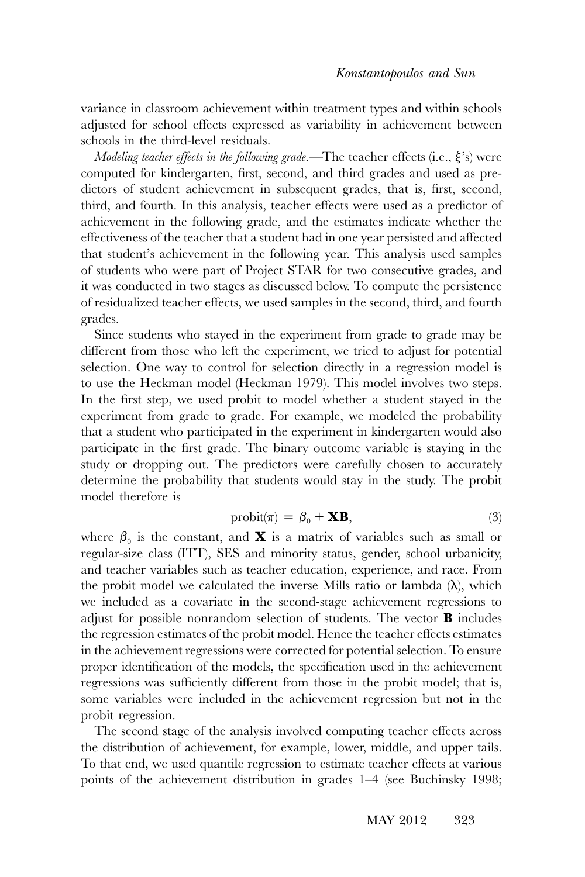variance in classroom achievement within treatment types and within schools adjusted for school effects expressed as variability in achievement between schools in the third-level residuals.

*Modeling teacher effects in the following grade.*—The teacher effects (i.e.,  $\xi$ 's) were computed for kindergarten, first, second, and third grades and used as predictors of student achievement in subsequent grades, that is, first, second, third, and fourth. In this analysis, teacher effects were used as a predictor of achievement in the following grade, and the estimates indicate whether the effectiveness of the teacher that a student had in one year persisted and affected that student's achievement in the following year. This analysis used samples of students who were part of Project STAR for two consecutive grades, and it was conducted in two stages as discussed below. To compute the persistence of residualized teacher effects, we used samples in the second, third, and fourth grades.

Since students who stayed in the experiment from grade to grade may be different from those who left the experiment, we tried to adjust for potential selection. One way to control for selection directly in a regression model is to use the Heckman model (Heckman 1979). This model involves two steps. In the first step, we used probit to model whether a student stayed in the experiment from grade to grade. For example, we modeled the probability that a student who participated in the experiment in kindergarten would also participate in the first grade. The binary outcome variable is staying in the study or dropping out. The predictors were carefully chosen to accurately determine the probability that students would stay in the study. The probit model therefore is

$$
probit(\pi) = \beta_0 + \mathbf{X}\mathbf{B},\tag{3}
$$

where  $\beta_0$  is the constant, and **X** is a matrix of variables such as small or regular-size class (ITT), SES and minority status, gender, school urbanicity, and teacher variables such as teacher education, experience, and race. From the probit model we calculated the inverse Mills ratio or lambda  $(\lambda)$ , which we included as a covariate in the second-stage achievement regressions to adjust for possible nonrandom selection of students. The vector **B** includes the regression estimates of the probit model. Hence the teacher effects estimates in the achievement regressions were corrected for potential selection. To ensure proper identification of the models, the specification used in the achievement regressions was sufficiently different from those in the probit model; that is, some variables were included in the achievement regression but not in the probit regression.

The second stage of the analysis involved computing teacher effects across the distribution of achievement, for example, lower, middle, and upper tails. To that end, we used quantile regression to estimate teacher effects at various points of the achievement distribution in grades 1–4 (see Buchinsky 1998;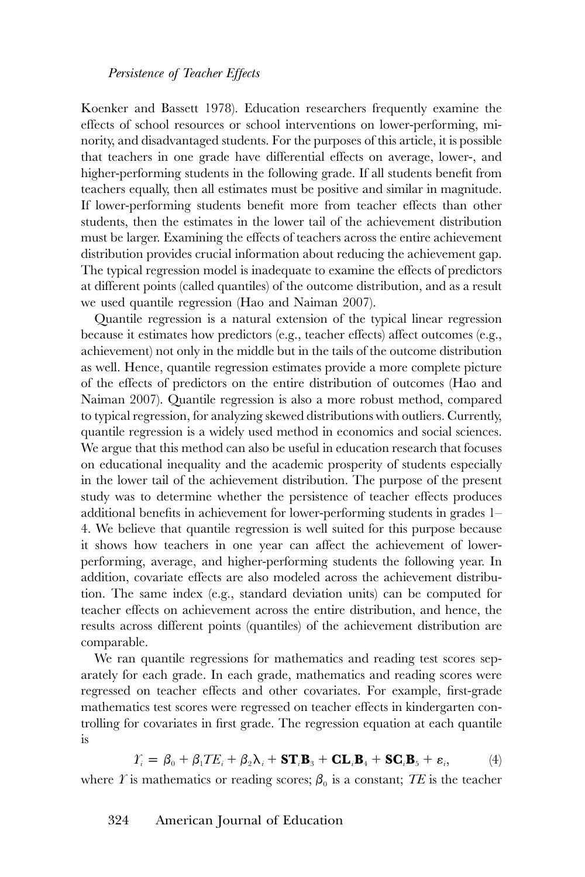Koenker and Bassett 1978). Education researchers frequently examine the effects of school resources or school interventions on lower-performing, minority, and disadvantaged students. For the purposes of this article, it is possible that teachers in one grade have differential effects on average, lower-, and higher-performing students in the following grade. If all students benefit from teachers equally, then all estimates must be positive and similar in magnitude. If lower-performing students benefit more from teacher effects than other students, then the estimates in the lower tail of the achievement distribution must be larger. Examining the effects of teachers across the entire achievement distribution provides crucial information about reducing the achievement gap. The typical regression model is inadequate to examine the effects of predictors at different points (called quantiles) of the outcome distribution, and as a result we used quantile regression (Hao and Naiman 2007).

Quantile regression is a natural extension of the typical linear regression because it estimates how predictors (e.g., teacher effects) affect outcomes (e.g., achievement) not only in the middle but in the tails of the outcome distribution as well. Hence, quantile regression estimates provide a more complete picture of the effects of predictors on the entire distribution of outcomes (Hao and Naiman 2007). Quantile regression is also a more robust method, compared to typical regression, for analyzing skewed distributions with outliers. Currently, quantile regression is a widely used method in economics and social sciences. We argue that this method can also be useful in education research that focuses on educational inequality and the academic prosperity of students especially in the lower tail of the achievement distribution. The purpose of the present study was to determine whether the persistence of teacher effects produces additional benefits in achievement for lower-performing students in grades 1– 4. We believe that quantile regression is well suited for this purpose because it shows how teachers in one year can affect the achievement of lowerperforming, average, and higher-performing students the following year. In addition, covariate effects are also modeled across the achievement distribution. The same index (e.g., standard deviation units) can be computed for teacher effects on achievement across the entire distribution, and hence, the results across different points (quantiles) of the achievement distribution are comparable.

We ran quantile regressions for mathematics and reading test scores separately for each grade. In each grade, mathematics and reading scores were regressed on teacher effects and other covariates. For example, first-grade mathematics test scores were regressed on teacher effects in kindergarten controlling for covariates in first grade. The regression equation at each quantile is

 $Y_i = \beta_0 + \beta_1 TE_i + \beta_2 \lambda_i + \mathbf{ST}_i \mathbf{B}_3 + \mathbf{CL}_i \mathbf{B}_4 + \mathbf{SC}_i \mathbf{B}_5 + \varepsilon_i,$  (4)

where *Y* is mathematics or reading scores;  $\beta_0$  is a constant; *TE* is the teacher

324 American Journal of Education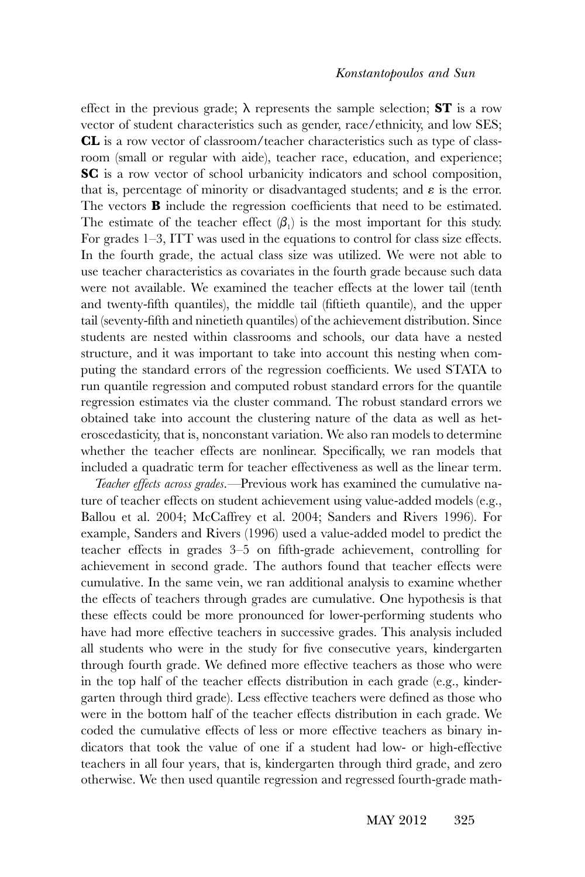effect in the previous grade;  $\lambda$  represents the sample selection; **ST** is a row vector of student characteristics such as gender, race/ethnicity, and low SES; **CL** is a row vector of classroom/teacher characteristics such as type of classroom (small or regular with aide), teacher race, education, and experience; **SC** is a row vector of school urbanicity indicators and school composition, that is, percentage of minority or disadvantaged students; and  $\varepsilon$  is the error. The vectors **B** include the regression coefficients that need to be estimated. The estimate of the teacher effect  $(\beta_1)$  is the most important for this study. For grades 1–3, ITT was used in the equations to control for class size effects. In the fourth grade, the actual class size was utilized. We were not able to use teacher characteristics as covariates in the fourth grade because such data were not available. We examined the teacher effects at the lower tail (tenth and twenty-fifth quantiles), the middle tail (fiftieth quantile), and the upper tail (seventy-fifth and ninetieth quantiles) of the achievement distribution. Since students are nested within classrooms and schools, our data have a nested structure, and it was important to take into account this nesting when computing the standard errors of the regression coefficients. We used STATA to run quantile regression and computed robust standard errors for the quantile regression estimates via the cluster command. The robust standard errors we obtained take into account the clustering nature of the data as well as heteroscedasticity, that is, nonconstant variation. We also ran models to determine whether the teacher effects are nonlinear. Specifically, we ran models that included a quadratic term for teacher effectiveness as well as the linear term.

*Teacher effects across grades.—*Previous work has examined the cumulative nature of teacher effects on student achievement using value-added models (e.g., Ballou et al. 2004; McCaffrey et al. 2004; Sanders and Rivers 1996). For example, Sanders and Rivers (1996) used a value-added model to predict the teacher effects in grades 3–5 on fifth-grade achievement, controlling for achievement in second grade. The authors found that teacher effects were cumulative. In the same vein, we ran additional analysis to examine whether the effects of teachers through grades are cumulative. One hypothesis is that these effects could be more pronounced for lower-performing students who have had more effective teachers in successive grades. This analysis included all students who were in the study for five consecutive years, kindergarten through fourth grade. We defined more effective teachers as those who were in the top half of the teacher effects distribution in each grade (e.g., kindergarten through third grade). Less effective teachers were defined as those who were in the bottom half of the teacher effects distribution in each grade. We coded the cumulative effects of less or more effective teachers as binary indicators that took the value of one if a student had low- or high-effective teachers in all four years, that is, kindergarten through third grade, and zero otherwise. We then used quantile regression and regressed fourth-grade math-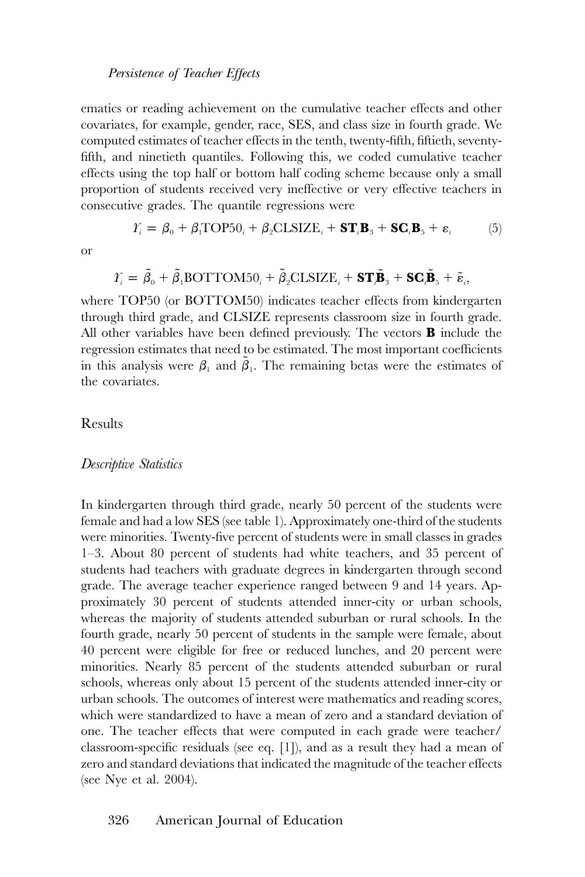ematics or reading achievement on the cumulative teacher effects and other covariates, for example, gender, race, SES, and class size in fourth grade. We computed estimates of teacher effects in the tenth, twenty-fifth, fiftieth, seventyfifth, and ninetieth quantiles. Following this, we coded cumulative teacher effects using the top half or bottom half coding scheme because only a small proportion of students received very ineffective or very effective teachers in consecutive grades. The quantile regressions were

$$
\varUpsilon_i = \beta_0 + \beta_1 \text{TOP50}_i + \beta_2 \text{CLSIZE}_i + \text{ST}_i \mathbf{B}_3 + \text{SC}_i \mathbf{B}_5 + \varepsilon_i \tag{5}
$$

or

$$
\varUpsilon_i = \tilde{\beta}_0 + \tilde{\beta}_1 \text{BOTTOM50}_i + \tilde{\beta}_2 \text{CLSIZE}_i + \mathbf{ST}_i \tilde{\mathbf{B}}_3 + \mathbf{SC}_i \tilde{\mathbf{B}}_5 + \tilde{\boldsymbol{\epsilon}}_i,
$$

where TOP50 (or BOTTOM50) indicates teacher effects from kindergarten through third grade, and CLSIZE represents classroom size in fourth grade. All other variables have been defined previously. The vectors **B** include the regression estimates that need to be estimated. The most important coefficients in this analysis were  $\beta_1$  and  $\tilde{\beta}_1$ . The remaining betas were the estimates of the covariates.

# Results

#### *Descriptive Statistics*

In kindergarten through third grade, nearly 50 percent of the students were female and had a low SES (see table 1). Approximately one-third of the students were minorities. Twenty-five percent of students were in small classes in grades 1–3. About 80 percent of students had white teachers, and 35 percent of students had teachers with graduate degrees in kindergarten through second grade. The average teacher experience ranged between 9 and 14 years. Approximately 30 percent of students attended inner-city or urban schools, whereas the majority of students attended suburban or rural schools. In the fourth grade, nearly 50 percent of students in the sample were female, about 40 percent were eligible for free or reduced lunches, and 20 percent were minorities. Nearly 85 percent of the students attended suburban or rural schools, whereas only about 15 percent of the students attended inner-city or urban schools. The outcomes of interest were mathematics and reading scores, which were standardized to have a mean of zero and a standard deviation of one. The teacher effects that were computed in each grade were teacher/ classroom-specific residuals (see eq. [1]), and as a result they had a mean of zero and standard deviations that indicated the magnitude of the teacher effects (see Nye et al. 2004).

## 326 American Journal of Education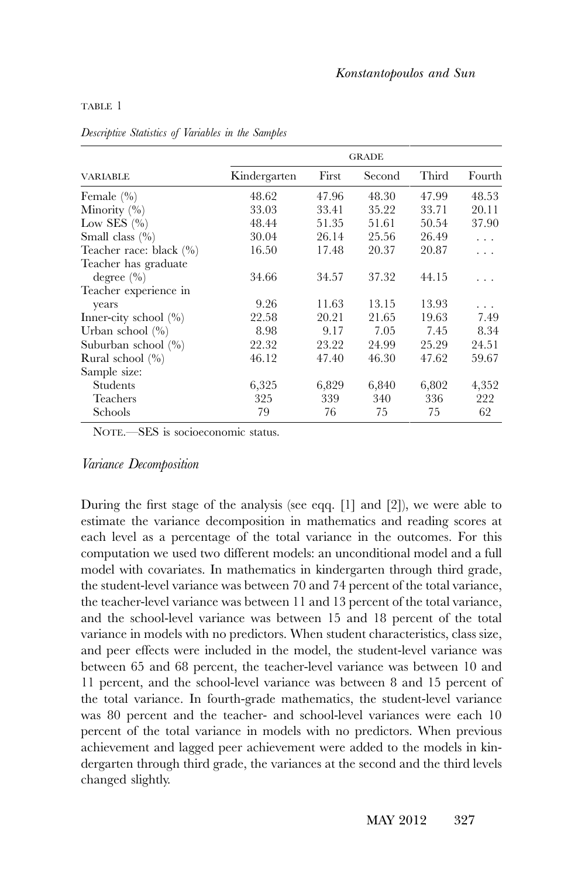|                           | <b>GRADE</b> |       |        |       |        |  |  |  |
|---------------------------|--------------|-------|--------|-------|--------|--|--|--|
| <b>VARIABLE</b>           | Kindergarten | First | Second | Third | Fourth |  |  |  |
| Female $(\% )$            | 48.62        | 47.96 | 48.30  | 47.99 | 48.53  |  |  |  |
| Minority $(\% )$          | 33.03        | 33.41 | 35.22  | 33.71 | 20.11  |  |  |  |
| Low SES $(\% )$           | 48.44        | 51.35 | 51.61  | 50.54 | 37.90  |  |  |  |
| Small class $(\% )$       | 30.04        | 26.14 | 25.56  | 26.49 | .      |  |  |  |
| Teacher race: black (%)   | 16.50        | 17.48 | 20.37  | 20.87 | .      |  |  |  |
| Teacher has graduate      |              |       |        |       |        |  |  |  |
| degree $(\% )$            | 34.66        | 34.57 | 37.32  | 44.15 |        |  |  |  |
| Teacher experience in     |              |       |        |       |        |  |  |  |
| years                     | 9.26         | 11.63 | 13.15  | 13.93 |        |  |  |  |
| Inner-city school $(\% )$ | 22.58        | 20.21 | 21.65  | 19.63 | 7.49   |  |  |  |
| Urban school $(\% )$      | 8.98         | 9.17  | 7.05   | 7.45  | 8.34   |  |  |  |
| Suburban school $(\% )$   | 22.32        | 23.22 | 24.99  | 25.29 | 24.51  |  |  |  |
| Rural school $(\% )$      | 46.12        | 47.40 | 46.30  | 47.62 | 59.67  |  |  |  |
| Sample size:              |              |       |        |       |        |  |  |  |
| Students                  | 6,325        | 6,829 | 6,840  | 6,802 | 4,352  |  |  |  |
| Teachers                  | 325          | 339   | 340    | 336   | 222    |  |  |  |
| Schools                   | 79           | 76    | 75     | 75    | 62     |  |  |  |

*Descriptive Statistics of Variables in the Samples*

NOTE.—SES is socioeconomic status.

#### *Variance Decomposition*

During the first stage of the analysis (see eqq. [1] and [2]), we were able to estimate the variance decomposition in mathematics and reading scores at each level as a percentage of the total variance in the outcomes. For this computation we used two different models: an unconditional model and a full model with covariates. In mathematics in kindergarten through third grade, the student-level variance was between 70 and 74 percent of the total variance, the teacher-level variance was between 11 and 13 percent of the total variance, and the school-level variance was between 15 and 18 percent of the total variance in models with no predictors. When student characteristics, class size, and peer effects were included in the model, the student-level variance was between 65 and 68 percent, the teacher-level variance was between 10 and 11 percent, and the school-level variance was between 8 and 15 percent of the total variance. In fourth-grade mathematics, the student-level variance was 80 percent and the teacher- and school-level variances were each 10 percent of the total variance in models with no predictors. When previous achievement and lagged peer achievement were added to the models in kindergarten through third grade, the variances at the second and the third levels changed slightly.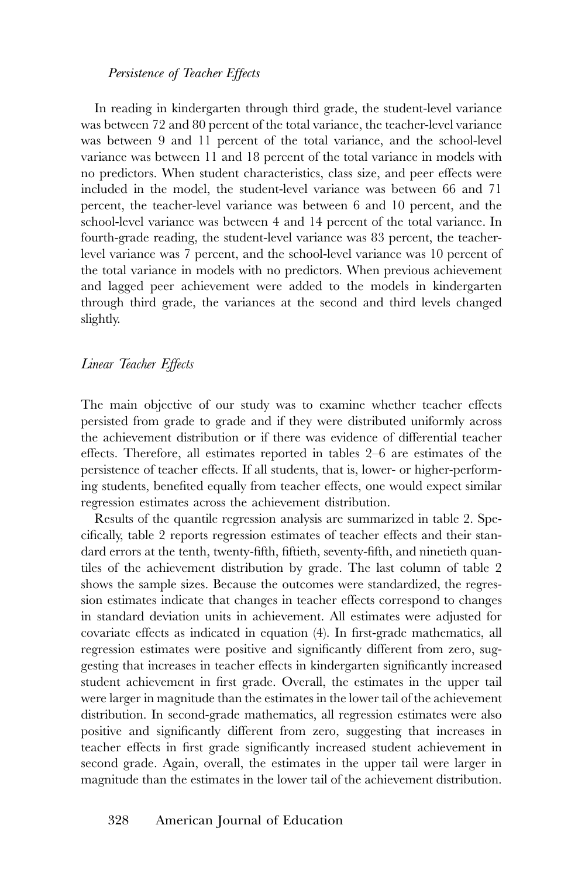In reading in kindergarten through third grade, the student-level variance was between 72 and 80 percent of the total variance, the teacher-level variance was between 9 and 11 percent of the total variance, and the school-level variance was between 11 and 18 percent of the total variance in models with no predictors. When student characteristics, class size, and peer effects were included in the model, the student-level variance was between 66 and 71 percent, the teacher-level variance was between 6 and 10 percent, and the school-level variance was between 4 and 14 percent of the total variance. In fourth-grade reading, the student-level variance was 83 percent, the teacherlevel variance was 7 percent, and the school-level variance was 10 percent of the total variance in models with no predictors. When previous achievement and lagged peer achievement were added to the models in kindergarten through third grade, the variances at the second and third levels changed slightly.

# *Linear Teacher Effects*

The main objective of our study was to examine whether teacher effects persisted from grade to grade and if they were distributed uniformly across the achievement distribution or if there was evidence of differential teacher effects. Therefore, all estimates reported in tables 2–6 are estimates of the persistence of teacher effects. If all students, that is, lower- or higher-performing students, benefited equally from teacher effects, one would expect similar regression estimates across the achievement distribution.

Results of the quantile regression analysis are summarized in table 2. Specifically, table 2 reports regression estimates of teacher effects and their standard errors at the tenth, twenty-fifth, fiftieth, seventy-fifth, and ninetieth quantiles of the achievement distribution by grade. The last column of table 2 shows the sample sizes. Because the outcomes were standardized, the regression estimates indicate that changes in teacher effects correspond to changes in standard deviation units in achievement. All estimates were adjusted for covariate effects as indicated in equation (4). In first-grade mathematics, all regression estimates were positive and significantly different from zero, suggesting that increases in teacher effects in kindergarten significantly increased student achievement in first grade. Overall, the estimates in the upper tail were larger in magnitude than the estimates in the lower tail of the achievement distribution. In second-grade mathematics, all regression estimates were also positive and significantly different from zero, suggesting that increases in teacher effects in first grade significantly increased student achievement in second grade. Again, overall, the estimates in the upper tail were larger in magnitude than the estimates in the lower tail of the achievement distribution.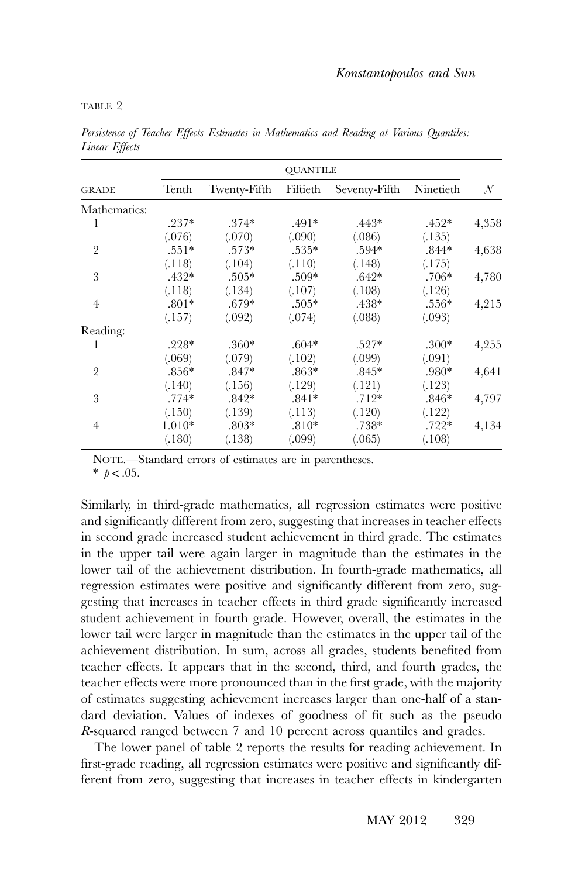|                | <b>QUANTILE</b> |              |          |               |           |               |
|----------------|-----------------|--------------|----------|---------------|-----------|---------------|
| <b>GRADE</b>   | Tenth           | Twenty-Fifth | Fiftieth | Seventy-Fifth | Ninetieth | $\mathcal{N}$ |
| Mathematics:   |                 |              |          |               |           |               |
| 1              | $.237*$         | $.374*$      | $.491*$  | $.443*$       | $.452*$   | 4,358         |
|                | (.076)          | (.070)       | (.090)   | (.086)        | (.135)    |               |
| $\overline{2}$ | $.551*$         | $.573*$      | $.535*$  | $.594*$       | $.844*$   | 4,638         |
|                | (.118)          | (.104)       | (.110)   | (.148)        | (.175)    |               |
| 3              | $.432*$         | $.505*$      | $.509*$  | $.642*$       | $.706*$   | 4,780         |
|                | (.118)          | (.134)       | (.107)   | (.108)        | (.126)    |               |
| $\overline{4}$ | $.801*$         | $.679*$      | $.505*$  | .438*         | $.556*$   | 4,215         |
|                | (.157)          | (.092)       | (.074)   | (.088)        | (.093)    |               |
| Reading:       |                 |              |          |               |           |               |
|                | $.228*$         | $.360*$      | $.604*$  | $.527*$       | $.300*$   | 4,255         |
|                | (.069)          | (.079)       | (.102)   | (.099)        | (.091)    |               |
| $\overline{2}$ | $.856*$         | $.847*$      | $.863*$  | $.845*$       | $.980*$   | 4,641         |
|                | (.140)          | (.156)       | (.129)   | (.121)        | (.123)    |               |
| 3              | $.774*$         | $.842*$      | $.841*$  | $.712*$       | $.846*$   | 4,797         |
|                | (.150)          | (.139)       | (.113)   | (.120)        | (.122)    |               |
| $\overline{4}$ | $1.010*$        | $.803*$      | $.810*$  | .738*         | $.722*$   | 4,134         |
|                | (.180)          | (.138)       | (.099)   | (.065)        | (.108)    |               |

*Persistence of Teacher Effects Estimates in Mathematics and Reading at Various Quantiles: Linear Effects*

NOTE.—Standard errors of estimates are in parentheses.

 $*$   $p < .05$ .

Similarly, in third-grade mathematics, all regression estimates were positive and significantly different from zero, suggesting that increases in teacher effects in second grade increased student achievement in third grade. The estimates in the upper tail were again larger in magnitude than the estimates in the lower tail of the achievement distribution. In fourth-grade mathematics, all regression estimates were positive and significantly different from zero, suggesting that increases in teacher effects in third grade significantly increased student achievement in fourth grade. However, overall, the estimates in the lower tail were larger in magnitude than the estimates in the upper tail of the achievement distribution. In sum, across all grades, students benefited from teacher effects. It appears that in the second, third, and fourth grades, the teacher effects were more pronounced than in the first grade, with the majority of estimates suggesting achievement increases larger than one-half of a standard deviation. Values of indexes of goodness of fit such as the pseudo *R*-squared ranged between 7 and 10 percent across quantiles and grades.

The lower panel of table 2 reports the results for reading achievement. In first-grade reading, all regression estimates were positive and significantly different from zero, suggesting that increases in teacher effects in kindergarten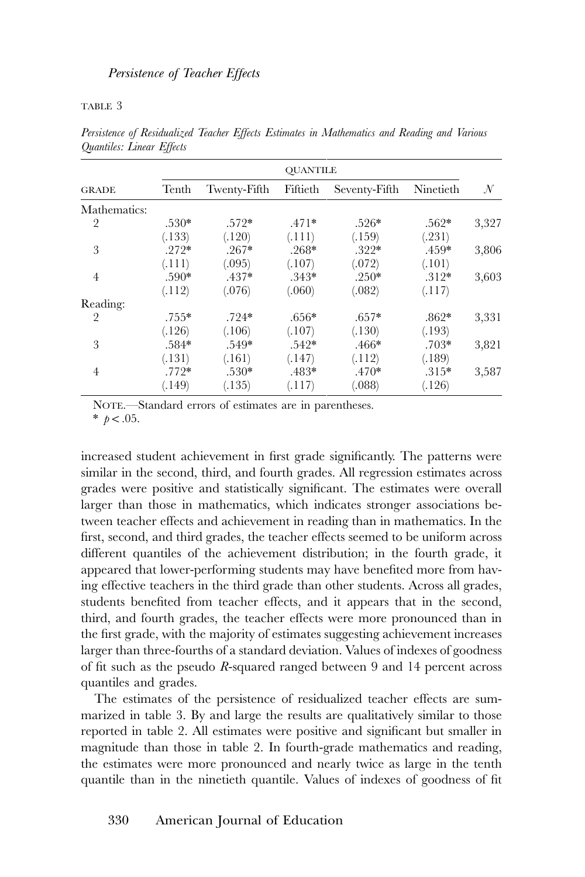|                | <b>OUANTILE</b> |              |          |               |           |               |  |
|----------------|-----------------|--------------|----------|---------------|-----------|---------------|--|
| <b>GRADE</b>   | Tenth           | Twenty-Fifth | Fiftieth | Seventy-Fifth | Ninetieth | $\mathcal{N}$ |  |
| Mathematics:   |                 |              |          |               |           |               |  |
| $\overline{2}$ | $.530*$         | $.572*$      | $.471*$  | $.526*$       | $.562*$   | 3,327         |  |
|                | (.133)          | (.120)       | (.111)   | (.159)        | (.231)    |               |  |
| 3              | $.272*$         | $.267*$      | $.268*$  | $.322*$       | .459*     | 3,806         |  |
|                | (.111)          | (.095)       | (.107)   | (.072)        | (.101)    |               |  |
| $\overline{4}$ | $.590*$         | $.437*$      | $.343*$  | $.250*$       | $.312*$   | 3,603         |  |
|                | (.112)          | (.076)       | (.060)   | (.082)        | (.117)    |               |  |
| Reading:       |                 |              |          |               |           |               |  |
| $\overline{2}$ | $.755*$         | $.724*$      | $.656*$  | $.657*$       | $.862*$   | 3,331         |  |
|                | (.126)          | (.106)       | (.107)   | (.130)        | (.193)    |               |  |
| 3              | $.584*$         | $.549*$      | $.542*$  | $.466*$       | $.703*$   | 3,821         |  |
|                | (.131)          | (.161)       | (.147)   | (.112)        | (.189)    |               |  |
| $\overline{4}$ | $.772*$         | $.530*$      | .483*    | $.470*$       | $.315*$   | 3,587         |  |
|                | (.149)          | (.135)       | (.117)   | (.088)        | (.126)    |               |  |

*Persistence of Residualized Teacher Effects Estimates in Mathematics and Reading and Various Quantiles: Linear Effects*

NOTE.—Standard errors of estimates are in parentheses. \*  $p < .05$ .

increased student achievement in first grade significantly. The patterns were similar in the second, third, and fourth grades. All regression estimates across grades were positive and statistically significant. The estimates were overall larger than those in mathematics, which indicates stronger associations between teacher effects and achievement in reading than in mathematics. In the first, second, and third grades, the teacher effects seemed to be uniform across different quantiles of the achievement distribution; in the fourth grade, it appeared that lower-performing students may have benefited more from having effective teachers in the third grade than other students. Across all grades, students benefited from teacher effects, and it appears that in the second, third, and fourth grades, the teacher effects were more pronounced than in the first grade, with the majority of estimates suggesting achievement increases larger than three-fourths of a standard deviation. Values of indexes of goodness of fit such as the pseudo *R*-squared ranged between 9 and 14 percent across quantiles and grades.

The estimates of the persistence of residualized teacher effects are summarized in table 3. By and large the results are qualitatively similar to those reported in table 2. All estimates were positive and significant but smaller in magnitude than those in table 2. In fourth-grade mathematics and reading, the estimates were more pronounced and nearly twice as large in the tenth quantile than in the ninetieth quantile. Values of indexes of goodness of fit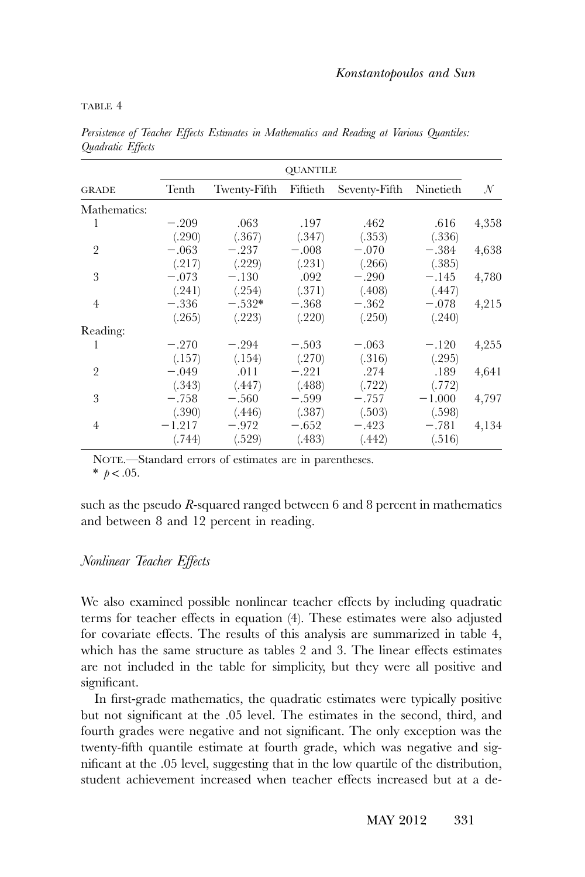|                | <b>QUANTILE</b> |          |         |                                               |          |               |
|----------------|-----------------|----------|---------|-----------------------------------------------|----------|---------------|
| <b>GRADE</b>   | Tenth           |          |         | Twenty-Fifth Fiftieth Seventy-Fifth Ninetieth |          | $\mathcal{N}$ |
| Mathematics:   |                 |          |         |                                               |          |               |
| 1              | $-.209$         | .063     | .197    | .462                                          | .616     | 4,358         |
|                | (.290)          | (.367)   | (.347)  | (.353)                                        | (.336)   |               |
| 2              | $-.063$         | $-.237$  | $-.008$ | $-.070$                                       | $-.384$  | 4,638         |
|                | (.217)          | (.229)   | (.231)  | (.266)                                        | (.385)   |               |
| 3              | $-.073$         | $-.130$  | .092    | $-.290$                                       | $-.145$  | 4,780         |
|                | (.241)          | (.254)   | (.371)  | (.408)                                        | (.447)   |               |
| $\overline{4}$ | $-.336$         | $-.532*$ | $-.368$ | $-.362$                                       | $-.078$  | 4,215         |
|                | (.265)          | (.223)   | (.220)  | (.250)                                        | (.240)   |               |
| Reading:       |                 |          |         |                                               |          |               |
|                | $-.270$         | $-.294$  | $-.503$ | $-.063$                                       | $-.120$  | 4,255         |
|                | (.157)          | (.154)   | (.270)  | (.316)                                        | (.295)   |               |
| $\overline{2}$ | $-.049$         | .011     | $-.221$ | .274                                          | .189     | 4,641         |
|                | (.343)          | (.447)   | (.488)  | (.722)                                        | (.772)   |               |
| 3              | $-.758$         | $-.560$  | $-.599$ | $-.757$                                       | $-1.000$ | 4,797         |
|                | (.390)          | (.446)   | (.387)  | (.503)                                        | (.598)   |               |
| $\overline{4}$ | $-1.217$        | $-.972$  | $-.652$ | $-.423$                                       | $-.781$  | 4,134         |
|                | (.744)          | (.529)   | (.483)  | (.442)                                        | (.516)   |               |

*Persistence of Teacher Effects Estimates in Mathematics and Reading at Various Quantiles: Quadratic Effects*

NOTE.—Standard errors of estimates are in parentheses.  $*$   $p < .05$ .

such as the pseudo *R*-squared ranged between 6 and 8 percent in mathematics and between 8 and 12 percent in reading.

#### *Nonlinear Teacher Effects*

We also examined possible nonlinear teacher effects by including quadratic terms for teacher effects in equation (4). These estimates were also adjusted for covariate effects. The results of this analysis are summarized in table 4, which has the same structure as tables 2 and 3. The linear effects estimates are not included in the table for simplicity, but they were all positive and significant.

In first-grade mathematics, the quadratic estimates were typically positive but not significant at the .05 level. The estimates in the second, third, and fourth grades were negative and not significant. The only exception was the twenty-fifth quantile estimate at fourth grade, which was negative and significant at the .05 level, suggesting that in the low quartile of the distribution, student achievement increased when teacher effects increased but at a de-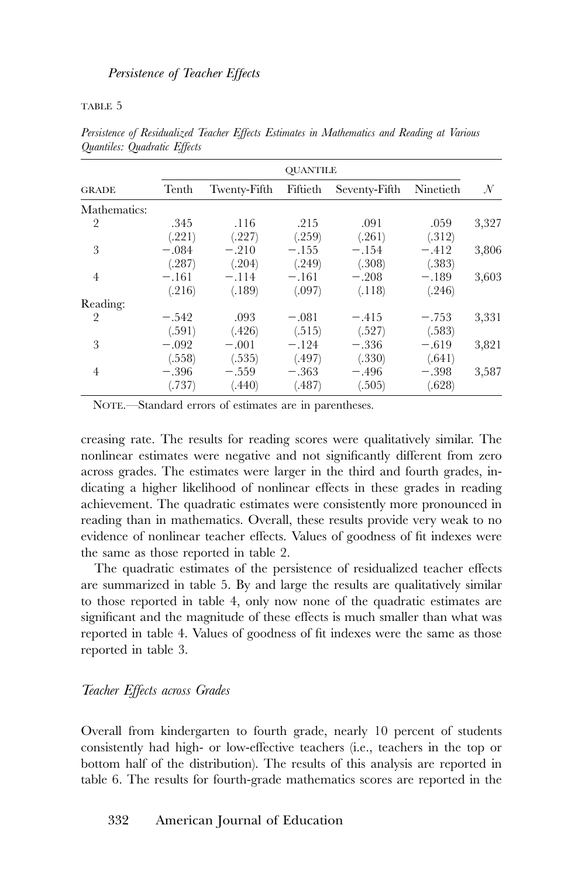|                | <b>OUANTILE</b> |              |          |               |           |               |
|----------------|-----------------|--------------|----------|---------------|-----------|---------------|
| <b>GRADE</b>   | Tenth           | Twenty-Fifth | Fiftieth | Seventy-Fifth | Ninetieth | $\mathcal{N}$ |
| Mathematics:   |                 |              |          |               |           |               |
| $\overline{2}$ | .345            | .116         | .215     | .091          | .059      | 3,327         |
|                | (.221)          | (.227)       | (.259)   | (.261)        | (.312)    |               |
| 3              | $-.084$         | $-.210$      | $-.155$  | $-.154$       | $-.412$   | 3,806         |
|                | (.287)          | (.204)       | (.249)   | (.308)        | (.383)    |               |
| 4              | $-.161$         | $-.114$      | $-.161$  | $-.208$       | $-.189$   | 3,603         |
|                | (.216)          | (.189)       | (.097)   | (.118)        | (.246)    |               |
| Reading:       |                 |              |          |               |           |               |
| $\overline{2}$ | $-.542$         | .093         | $-.081$  | $-.415$       | $-.753$   | 3,331         |
|                | (.591)          | (.426)       | (.515)   | (.527)        | (.583)    |               |
| 3              | $-.092$         | $-.001$      | $-.124$  | $-.336$       | $-.619$   | 3,821         |
|                | (.558)          | (.535)       | (.497)   | (.330)        | (.641)    |               |
| 4              | $-.396$         | $-.559$      | $-.363$  | $-.496$       | $-.398$   | 3,587         |
|                | (.737)          | (.440)       | (.487)   | (.505)        | (.628)    |               |

*Persistence of Residualized Teacher Effects Estimates in Mathematics and Reading at Various Quantiles: Quadratic Effects*

NOTE.—Standard errors of estimates are in parentheses.

creasing rate. The results for reading scores were qualitatively similar. The nonlinear estimates were negative and not significantly different from zero across grades. The estimates were larger in the third and fourth grades, indicating a higher likelihood of nonlinear effects in these grades in reading achievement. The quadratic estimates were consistently more pronounced in reading than in mathematics. Overall, these results provide very weak to no evidence of nonlinear teacher effects. Values of goodness of fit indexes were the same as those reported in table 2.

The quadratic estimates of the persistence of residualized teacher effects are summarized in table 5. By and large the results are qualitatively similar to those reported in table 4, only now none of the quadratic estimates are significant and the magnitude of these effects is much smaller than what was reported in table 4. Values of goodness of fit indexes were the same as those reported in table 3.

# *Teacher Effects across Grades*

Overall from kindergarten to fourth grade, nearly 10 percent of students consistently had high- or low-effective teachers (i.e., teachers in the top or bottom half of the distribution). The results of this analysis are reported in table 6. The results for fourth-grade mathematics scores are reported in the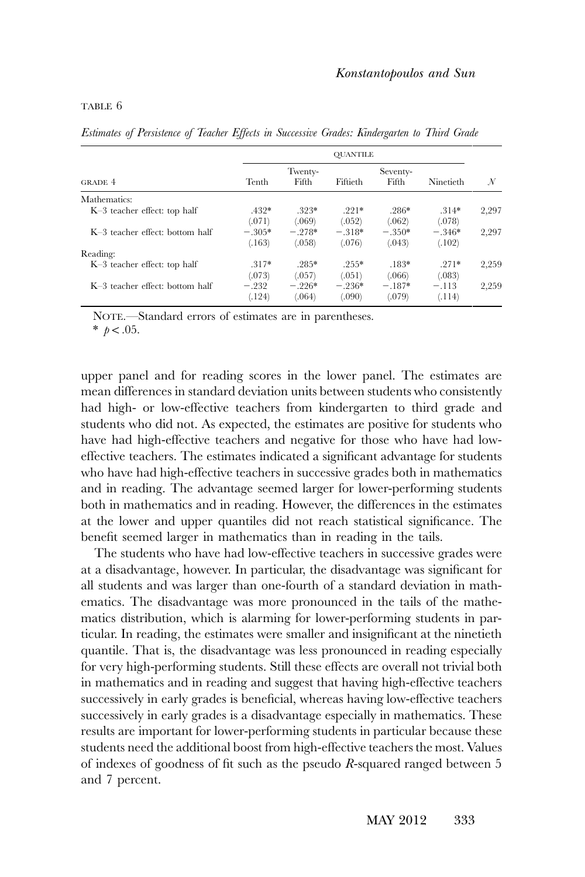|                                 | <b>OUANTILE</b> |                  |          |                   |           |               |
|---------------------------------|-----------------|------------------|----------|-------------------|-----------|---------------|
| <b>GRADE 4</b>                  | Tenth           | Twenty-<br>Fifth | Fiftieth | Seventy-<br>Fifth | Ninetieth | $\mathcal{N}$ |
| Mathematics:                    |                 |                  |          |                   |           |               |
| $K-3$ teacher effect: top half  | $.432*$         | $.323*$          | $.221*$  | $.286*$           | $.314*$   | 2,297         |
|                                 | (.071)          | (.069)           | (.052)   | (.062)            | (.078)    |               |
| K-3 teacher effect: bottom half | $-.305*$        | $-.278*$         | $-.318*$ | $-.350*$          | $-.346*$  | 2,297         |
|                                 | (.163)          | (.058)           | (.076)   | (.043)            | (.102)    |               |
| Reading:                        |                 |                  |          |                   |           |               |
| $K-3$ teacher effect: top half  | $.317*$         | $.285*$          | $.255*$  | $.183*$           | $.271*$   | 2.259         |
|                                 | (.073)          | (.057)           | (.051)   | (.066)            | (.083)    |               |
| K-3 teacher effect: bottom half | $-.232$         | $-.226*$         | $-.236*$ | $-.187*$          | $-.113$   | 2,259         |
|                                 | (.124)          | (.064)           | (.090)   | (.079)            | (.114)    |               |

*Estimates of Persistence of Teacher Effects in Successive Grades: Kindergarten to Third Grade*

NOTE.—Standard errors of estimates are in parentheses.

\*  $p < .05$ .

upper panel and for reading scores in the lower panel. The estimates are mean differences in standard deviation units between students who consistently had high- or low-effective teachers from kindergarten to third grade and students who did not. As expected, the estimates are positive for students who have had high-effective teachers and negative for those who have had loweffective teachers. The estimates indicated a significant advantage for students who have had high-effective teachers in successive grades both in mathematics and in reading. The advantage seemed larger for lower-performing students both in mathematics and in reading. However, the differences in the estimates at the lower and upper quantiles did not reach statistical significance. The benefit seemed larger in mathematics than in reading in the tails.

The students who have had low-effective teachers in successive grades were at a disadvantage, however. In particular, the disadvantage was significant for all students and was larger than one-fourth of a standard deviation in mathematics. The disadvantage was more pronounced in the tails of the mathematics distribution, which is alarming for lower-performing students in particular. In reading, the estimates were smaller and insignificant at the ninetieth quantile. That is, the disadvantage was less pronounced in reading especially for very high-performing students. Still these effects are overall not trivial both in mathematics and in reading and suggest that having high-effective teachers successively in early grades is beneficial, whereas having low-effective teachers successively in early grades is a disadvantage especially in mathematics. These results are important for lower-performing students in particular because these students need the additional boost from high-effective teachers the most. Values of indexes of goodness of fit such as the pseudo *R*-squared ranged between 5 and 7 percent.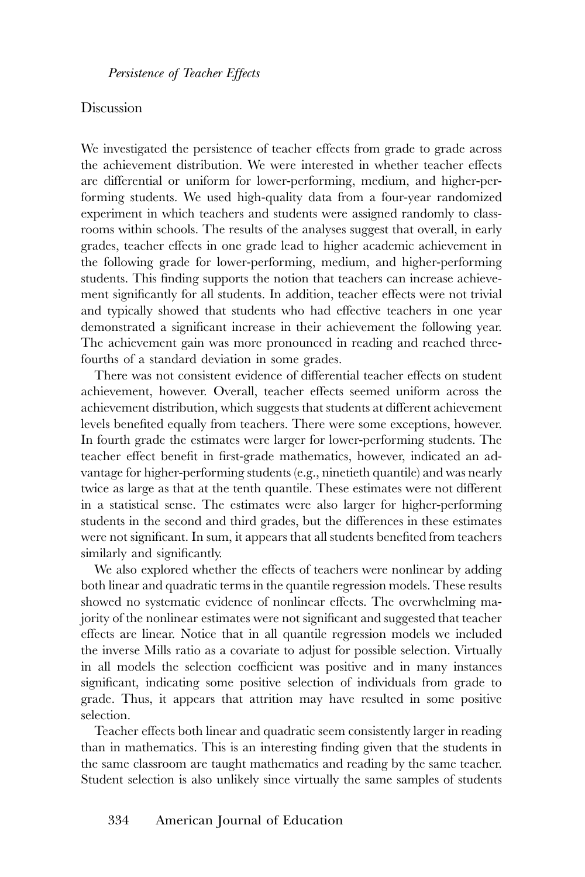# Discussion

We investigated the persistence of teacher effects from grade to grade across the achievement distribution. We were interested in whether teacher effects are differential or uniform for lower-performing, medium, and higher-performing students. We used high-quality data from a four-year randomized experiment in which teachers and students were assigned randomly to classrooms within schools. The results of the analyses suggest that overall, in early grades, teacher effects in one grade lead to higher academic achievement in the following grade for lower-performing, medium, and higher-performing students. This finding supports the notion that teachers can increase achievement significantly for all students. In addition, teacher effects were not trivial and typically showed that students who had effective teachers in one year demonstrated a significant increase in their achievement the following year. The achievement gain was more pronounced in reading and reached threefourths of a standard deviation in some grades.

There was not consistent evidence of differential teacher effects on student achievement, however. Overall, teacher effects seemed uniform across the achievement distribution, which suggests that students at different achievement levels benefited equally from teachers. There were some exceptions, however. In fourth grade the estimates were larger for lower-performing students. The teacher effect benefit in first-grade mathematics, however, indicated an advantage for higher-performing students (e.g., ninetieth quantile) and was nearly twice as large as that at the tenth quantile. These estimates were not different in a statistical sense. The estimates were also larger for higher-performing students in the second and third grades, but the differences in these estimates were not significant. In sum, it appears that all students benefited from teachers similarly and significantly.

We also explored whether the effects of teachers were nonlinear by adding both linear and quadratic terms in the quantile regression models. These results showed no systematic evidence of nonlinear effects. The overwhelming majority of the nonlinear estimates were not significant and suggested that teacher effects are linear. Notice that in all quantile regression models we included the inverse Mills ratio as a covariate to adjust for possible selection. Virtually in all models the selection coefficient was positive and in many instances significant, indicating some positive selection of individuals from grade to grade. Thus, it appears that attrition may have resulted in some positive selection.

Teacher effects both linear and quadratic seem consistently larger in reading than in mathematics. This is an interesting finding given that the students in the same classroom are taught mathematics and reading by the same teacher. Student selection is also unlikely since virtually the same samples of students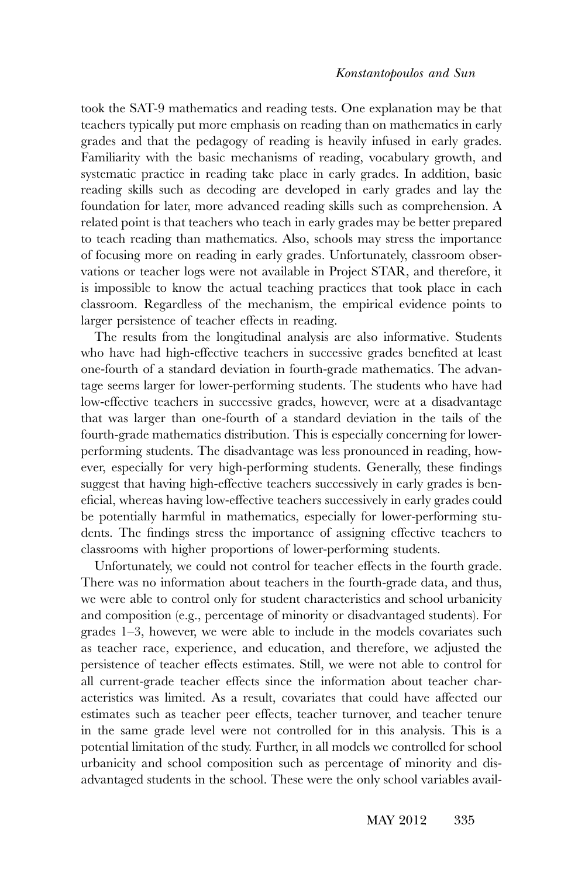took the SAT-9 mathematics and reading tests. One explanation may be that teachers typically put more emphasis on reading than on mathematics in early grades and that the pedagogy of reading is heavily infused in early grades. Familiarity with the basic mechanisms of reading, vocabulary growth, and systematic practice in reading take place in early grades. In addition, basic reading skills such as decoding are developed in early grades and lay the foundation for later, more advanced reading skills such as comprehension. A related point is that teachers who teach in early grades may be better prepared to teach reading than mathematics. Also, schools may stress the importance of focusing more on reading in early grades. Unfortunately, classroom observations or teacher logs were not available in Project STAR, and therefore, it is impossible to know the actual teaching practices that took place in each classroom. Regardless of the mechanism, the empirical evidence points to larger persistence of teacher effects in reading.

The results from the longitudinal analysis are also informative. Students who have had high-effective teachers in successive grades benefited at least one-fourth of a standard deviation in fourth-grade mathematics. The advantage seems larger for lower-performing students. The students who have had low-effective teachers in successive grades, however, were at a disadvantage that was larger than one-fourth of a standard deviation in the tails of the fourth-grade mathematics distribution. This is especially concerning for lowerperforming students. The disadvantage was less pronounced in reading, however, especially for very high-performing students. Generally, these findings suggest that having high-effective teachers successively in early grades is beneficial, whereas having low-effective teachers successively in early grades could be potentially harmful in mathematics, especially for lower-performing students. The findings stress the importance of assigning effective teachers to classrooms with higher proportions of lower-performing students.

Unfortunately, we could not control for teacher effects in the fourth grade. There was no information about teachers in the fourth-grade data, and thus, we were able to control only for student characteristics and school urbanicity and composition (e.g., percentage of minority or disadvantaged students). For grades 1–3, however, we were able to include in the models covariates such as teacher race, experience, and education, and therefore, we adjusted the persistence of teacher effects estimates. Still, we were not able to control for all current-grade teacher effects since the information about teacher characteristics was limited. As a result, covariates that could have affected our estimates such as teacher peer effects, teacher turnover, and teacher tenure in the same grade level were not controlled for in this analysis. This is a potential limitation of the study. Further, in all models we controlled for school urbanicity and school composition such as percentage of minority and disadvantaged students in the school. These were the only school variables avail-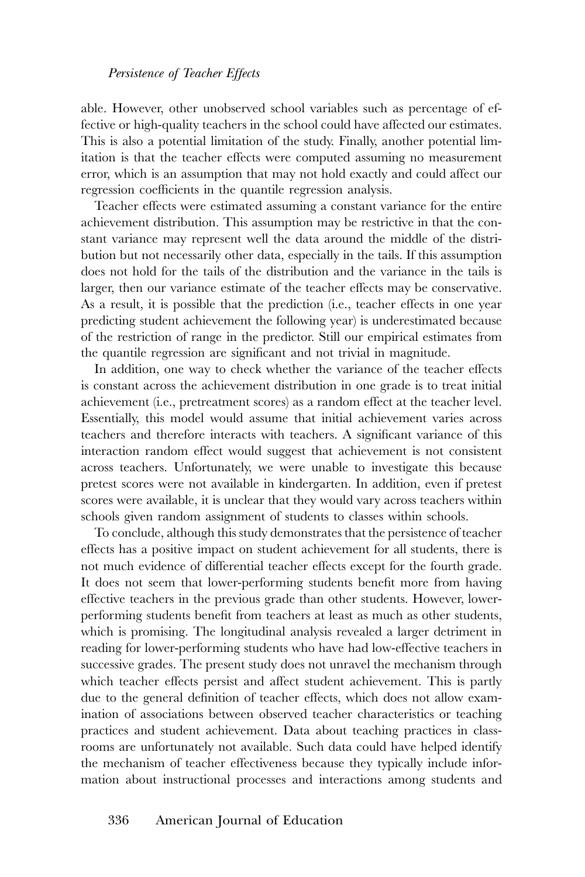able. However, other unobserved school variables such as percentage of effective or high-quality teachers in the school could have affected our estimates. This is also a potential limitation of the study. Finally, another potential limitation is that the teacher effects were computed assuming no measurement error, which is an assumption that may not hold exactly and could affect our regression coefficients in the quantile regression analysis.

Teacher effects were estimated assuming a constant variance for the entire achievement distribution. This assumption may be restrictive in that the constant variance may represent well the data around the middle of the distribution but not necessarily other data, especially in the tails. If this assumption does not hold for the tails of the distribution and the variance in the tails is larger, then our variance estimate of the teacher effects may be conservative. As a result, it is possible that the prediction (i.e., teacher effects in one year predicting student achievement the following year) is underestimated because of the restriction of range in the predictor. Still our empirical estimates from the quantile regression are significant and not trivial in magnitude.

In addition, one way to check whether the variance of the teacher effects is constant across the achievement distribution in one grade is to treat initial achievement (i.e., pretreatment scores) as a random effect at the teacher level. Essentially, this model would assume that initial achievement varies across teachers and therefore interacts with teachers. A significant variance of this interaction random effect would suggest that achievement is not consistent across teachers. Unfortunately, we were unable to investigate this because pretest scores were not available in kindergarten. In addition, even if pretest scores were available, it is unclear that they would vary across teachers within schools given random assignment of students to classes within schools.

To conclude, although this study demonstrates that the persistence of teacher effects has a positive impact on student achievement for all students, there is not much evidence of differential teacher effects except for the fourth grade. It does not seem that lower-performing students benefit more from having effective teachers in the previous grade than other students. However, lowerperforming students benefit from teachers at least as much as other students, which is promising. The longitudinal analysis revealed a larger detriment in reading for lower-performing students who have had low-effective teachers in successive grades. The present study does not unravel the mechanism through which teacher effects persist and affect student achievement. This is partly due to the general definition of teacher effects, which does not allow examination of associations between observed teacher characteristics or teaching practices and student achievement. Data about teaching practices in classrooms are unfortunately not available. Such data could have helped identify the mechanism of teacher effectiveness because they typically include information about instructional processes and interactions among students and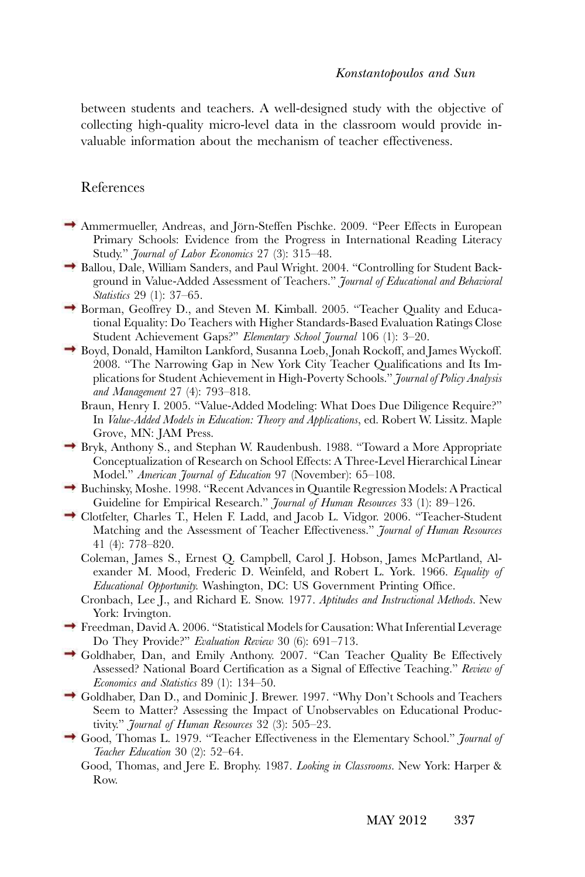between students and teachers. A well-designed study with the objective of collecting high-quality micro-level data in the classroom would provide invaluable information about the mechanism of teacher effectiveness.

## References

- $\rightarrow$  Ammermueller, Andreas, and Jörn-Steffen Pischke. 2009. "Peer Effects in European Primary Schools: Evidence from the Progress in International Reading Literacy Study." *Journal of Labor Economics* 27 (3): 315–48.
- $\rightarrow$  Ballou, Dale, William Sanders, and Paul Wright. 2004. "Controlling for Student Background in Value-Added Assessment of Teachers." *Journal of Educational and Behavioral Statistics* 29 (1): 37–65.
- $\rightarrow$  Borman, Geoffrey D., and Steven M. Kimball. 2005. "Teacher Quality and Educational Equality: Do Teachers with Higher Standards-Based Evaluation Ratings Close Student Achievement Gaps?" *Elementary School Journal* 106 (1): 3–20.
- Boyd, Donald, Hamilton Lankford, Susanna Loeb, Jonah Rockoff, and James Wyckoff. 2008. "The Narrowing Gap in New York City Teacher Qualifications and Its Implications for Student Achievement in High-Poverty Schools." *Journal of Policy Analysis and Management* 27 (4): 793–818.
	- Braun, Henry I. 2005. "Value-Added Modeling: What Does Due Diligence Require?" In *Value-Added Models in Education: Theory and Applications*, ed. Robert W. Lissitz. Maple Grove, MN: JAM Press.
- Bryk, Anthony S., and Stephan W. Raudenbush. 1988. "Toward a More Appropriate Conceptualization of Research on School Effects: A Three-Level Hierarchical Linear Model." *American Journal of Education* 97 (November): 65–108.
- Buchinsky, Moshe. 1998. "Recent Advances in Quantile Regression Models: A Practical Guideline for Empirical Research." *Journal of Human Resources* 33 (1): 89–126.
- Clotfelter, Charles T., Helen F. Ladd, and Jacob L. Vidgor. 2006. "Teacher-Student Matching and the Assessment of Teacher Effectiveness." *Journal of Human Resources* 41 (4): 778–820.
	- Coleman, James S., Ernest Q. Campbell, Carol J. Hobson, James McPartland, Alexander M. Mood, Frederic D. Weinfeld, and Robert L. York. 1966. *Equality of Educational Opportunity.* Washington, DC: US Government Printing Office.
	- Cronbach, Lee J., and Richard E. Snow. 1977. *Aptitudes and Instructional Methods.* New York: Irvington.
- Freedman, David A. 2006. "Statistical Models for Causation: What Inferential Leverage Do They Provide?" *Evaluation Review* 30 (6): 691–713.
- Goldhaber, Dan, and Emily Anthony. 2007. "Can Teacher Quality Be Effectively Assessed? National Board Certification as a Signal of Effective Teaching." *Review of Economics and Statistics* 89 (1): 134–50.
- Goldhaber, Dan D., and Dominic J. Brewer. 1997. "Why Don't Schools and Teachers Seem to Matter? Assessing the Impact of Unobservables on Educational Productivity." *Journal of Human Resources* 32 (3): 505–23.
- Good, Thomas L. 1979. "Teacher Effectiveness in the Elementary School." *Journal of Teacher Education* 30 (2): 52–64.
	- Good, Thomas, and Jere E. Brophy. 1987. *Looking in Classrooms.* New York: Harper & Row.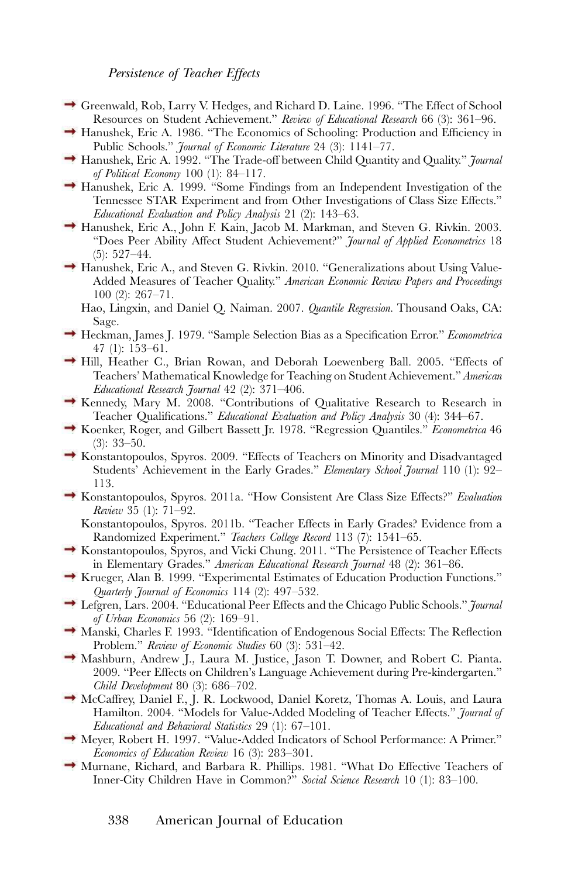- Greenwald, Rob, Larry V. Hedges, and Richard D. Laine. 1996. "The Effect of School Resources on Student Achievement." *Review of Educational Research* 66 (3): 361–96.
- $\rightarrow$  Hanushek, Eric A. 1986. "The Economics of Schooling: Production and Efficiency in Public Schools." *Journal of Economic Literature* 24 (3): 1141–77.
- Hanushek, Eric A. 1992. "The Trade-off between Child Quantity and Quality." *Journal of Political Economy* 100 (1): 84–117.
- $\rightarrow$  Hanushek, Eric A. 1999. "Some Findings from an Independent Investigation of the Tennessee STAR Experiment and from Other Investigations of Class Size Effects." *Educational Evaluation and Policy Analysis* 21 (2): 143–63.
- Hanushek, Eric A., John F. Kain, Jacob M. Markman, and Steven G. Rivkin. 2003. "Does Peer Ability Affect Student Achievement?" *Journal of Applied Econometrics* 18 (5): 527–44.
- $\rightarrow$  Hanushek, Eric A., and Steven G. Rivkin. 2010. "Generalizations about Using Value-Added Measures of Teacher Quality." *American Economic Review Papers and Proceedings* 100 (2): 267–71.
	- Hao, Lingxin, and Daniel Q. Naiman. 2007. *Quantile Regression.* Thousand Oaks, CA: Sage.
- Heckman, James J. 1979. "Sample Selection Bias as a Specification Error." *Econometrica* 47 (1): 153–61.
- Hill, Heather C., Brian Rowan, and Deborah Loewenberg Ball. 2005. "Effects of Teachers' Mathematical Knowledge for Teaching on Student Achievement." *American Educational Research Journal* 42 (2): 371–406.
- $\rightarrow$  Kennedy, Mary M. 2008. "Contributions of Qualitative Research to Research in Teacher Qualifications." *Educational Evaluation and Policy Analysis* 30 (4): 344–67.
- Koenker, Roger, and Gilbert Bassett Jr. 1978. "Regression Quantiles." *Econometrica* 46 (3): 33–50.
- Konstantopoulos, Spyros. 2009. "Effects of Teachers on Minority and Disadvantaged Students' Achievement in the Early Grades." *Elementary School Journal* 110 (1): 92– 113.
- Konstantopoulos, Spyros. 2011a. "How Consistent Are Class Size Effects?" *Evaluation Review* 35 (1): 71–92.

Konstantopoulos, Spyros. 2011b. "Teacher Effects in Early Grades? Evidence from a Randomized Experiment." *Teachers College Record* 113 (7): 1541–65.

- $\rightarrow$  Konstantopoulos, Spyros, and Vicki Chung. 2011. "The Persistence of Teacher Effects in Elementary Grades." *American Educational Research Journal* 48 (2): 361–86.
- Krueger, Alan B. 1999. "Experimental Estimates of Education Production Functions." *Quarterly Journal of Economics* 114 (2): 497–532.
- Lefgren, Lars. 2004. "Educational Peer Effects and the Chicago Public Schools." *Journal of Urban Economics* 56 (2): 169–91.
- Manski, Charles F. 1993. "Identification of Endogenous Social Effects: The Reflection Problem." *Review of Economic Studies* 60 (3): 531–42.
- Mashburn, Andrew J., Laura M. Justice, Jason T. Downer, and Robert C. Pianta. 2009. "Peer Effects on Children's Language Achievement during Pre-kindergarten." *Child Development* 80 (3): 686–702.
- McCaffrey, Daniel F., J. R. Lockwood, Daniel Koretz, Thomas A. Louis, and Laura Hamilton. 2004. "Models for Value-Added Modeling of Teacher Effects." *Journal of Educational and Behavioral Statistics* 29 (1): 67–101.
- Meyer, Robert H. 1997. "Value-Added Indicators of School Performance: A Primer." *Economics of Education Review* 16 (3): 283–301.
- Murnane, Richard, and Barbara R. Phillips. 1981. "What Do Effective Teachers of Inner-City Children Have in Common?" *Social Science Research* 10 (1): 83–100.